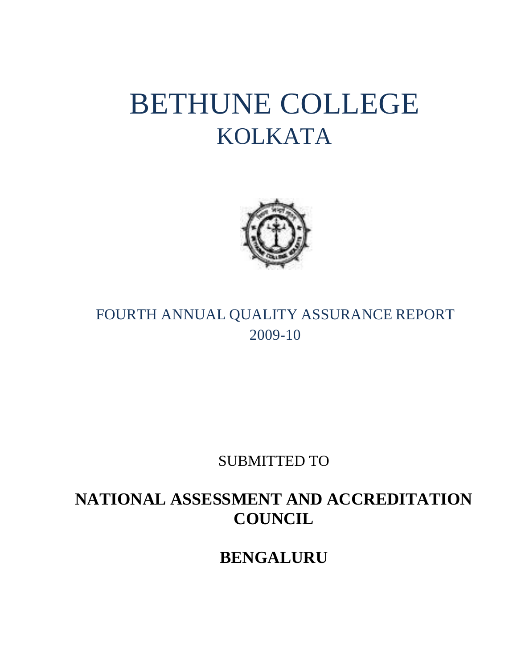# BETHUNE COLLEGE KOLKATA



# FOURTH ANNUAL QUALITY ASSURANCE REPORT 2009-10

SUBMITTED TO

# **NATIONAL ASSESSMENT AND ACCREDITATION COUNCIL**

**BENGALURU**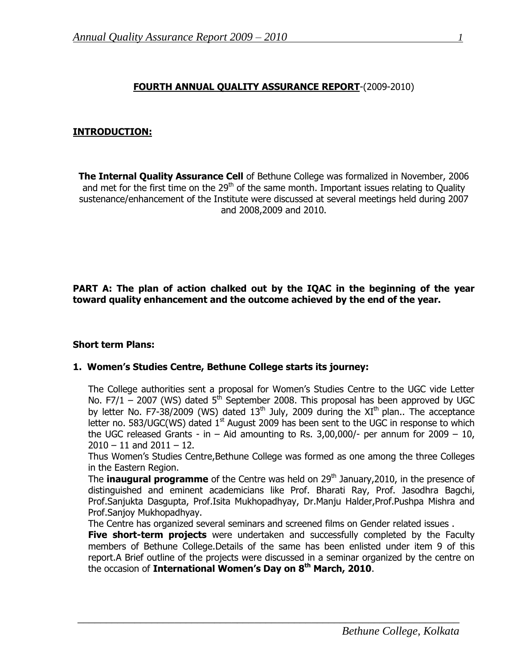# **FOURTH ANNUAL QUALITY ASSURANCE REPORT**-(2009-2010)

#### **INTRODUCTION:**

**The Internal Quality Assurance Cell** of Bethune College was formalized in November, 2006 and met for the first time on the  $29<sup>th</sup>$  of the same month. Important issues relating to Quality sustenance/enhancement of the Institute were discussed at several meetings held during 2007 and 2008,2009 and 2010.

**PART A: The plan of action chalked out by the IQAC in the beginning of the year toward quality enhancement and the outcome achieved by the end of the year.**

#### **Short term Plans:**

#### **1. Women's Studies Centre, Bethune College starts its journey:**

The College authorities sent a proposal for Women's Studies Centre to the UGC vide Letter No. F7/1 – 2007 (WS) dated  $5<sup>th</sup>$  September 2008. This proposal has been approved by UGC by letter No. F7-38/2009 (WS) dated  $13<sup>th</sup>$  July, 2009 during the XI<sup>th</sup> plan.. The acceptance letter no. 583/UGC(WS) dated  $1<sup>st</sup>$  August 2009 has been sent to the UGC in response to which the UGC released Grants - in  $-$  Aid amounting to Rs. 3,00,000/- per annum for 2009  $-$  10,  $2010 - 11$  and  $2011 - 12$ .

Thus Women"s Studies Centre,Bethune College was formed as one among the three Colleges in the Eastern Region.

The **inaugural programme** of the Centre was held on 29<sup>th</sup> January, 2010, in the presence of distinguished and eminent academicians like Prof. Bharati Ray, Prof. Jasodhra Bagchi, Prof.Sanjukta Dasgupta, Prof.Isita Mukhopadhyay, Dr.Manju Halder,Prof.Pushpa Mishra and Prof.Sanjoy Mukhopadhyay.

The Centre has organized several seminars and screened films on Gender related issues .

 $\overline{a_1}$  , and the set of the set of the set of the set of the set of the set of the set of the set of the set of the set of the set of the set of the set of the set of the set of the set of the set of the set of the se

**Five short-term projects** were undertaken and successfully completed by the Faculty members of Bethune College.Details of the same has been enlisted under item 9 of this report.A Brief outline of the projects were discussed in a seminar organized by the centre on the occasion of **International Women's Day on 8th March, 2010**.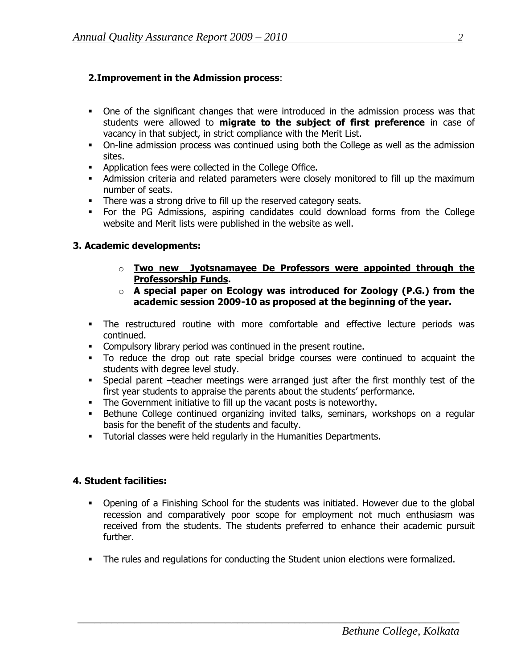# **2.Improvement in the Admission process**:

- One of the significant changes that were introduced in the admission process was that students were allowed to **migrate to the subject of first preference** in case of vacancy in that subject, in strict compliance with the Merit List.
- On-line admission process was continued using both the College as well as the admission sites.
- **Application fees were collected in the College Office.**
- Admission criteria and related parameters were closely monitored to fill up the maximum number of seats.
- There was a strong drive to fill up the reserved category seats.
- For the PG Admissions, aspiring candidates could download forms from the College website and Merit lists were published in the website as well.

# **3. Academic developments:**

- o **Two new Jyotsnamayee De Professors were appointed through the Professorship Funds.**
- o **A special paper on Ecology was introduced for Zoology (P.G.) from the academic session 2009-10 as proposed at the beginning of the year.**
- The restructured routine with more comfortable and effective lecture periods was continued.
- Compulsory library period was continued in the present routine.
- To reduce the drop out rate special bridge courses were continued to acquaint the students with degree level study.
- Special parent –teacher meetings were arranged just after the first monthly test of the first year students to appraise the parents about the students" performance.
- The Government initiative to fill up the vacant posts is noteworthy.
- Bethune College continued organizing invited talks, seminars, workshops on a regular basis for the benefit of the students and faculty.
- **Tutorial classes were held regularly in the Humanities Departments.**

#### **4. Student facilities:**

- Opening of a Finishing School for the students was initiated. However due to the global recession and comparatively poor scope for employment not much enthusiasm was received from the students. The students preferred to enhance their academic pursuit further.
- **The rules and regulations for conducting the Student union elections were formalized.**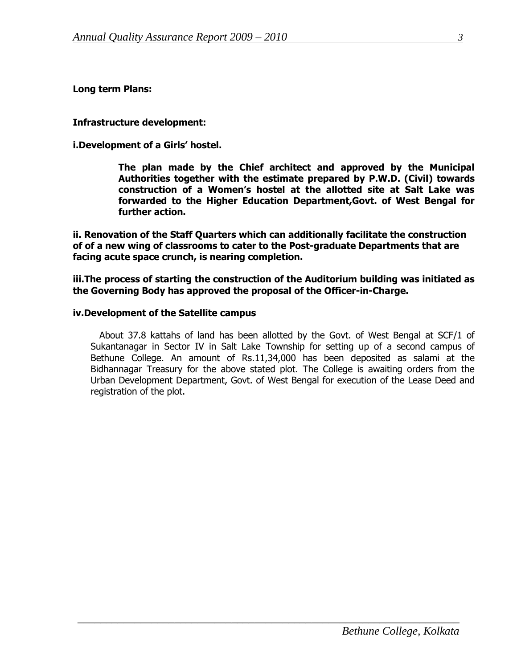**Long term Plans:**

**Infrastructure development:**

**i.Development of a Girls' hostel.**

**The plan made by the Chief architect and approved by the Municipal Authorities together with the estimate prepared by P.W.D. (Civil) towards construction of a Women's hostel at the allotted site at Salt Lake was forwarded to the Higher Education Department,Govt. of West Bengal for further action.**

**ii. Renovation of the Staff Quarters which can additionally facilitate the construction of of a new wing of classrooms to cater to the Post-graduate Departments that are facing acute space crunch, is nearing completion.** 

**iii.The process of starting the construction of the Auditorium building was initiated as the Governing Body has approved the proposal of the Officer-in-Charge.**

#### **iv.Development of the Satellite campus**

 About 37.8 kattahs of land has been allotted by the Govt. of West Bengal at SCF/1 of Sukantanagar in Sector IV in Salt Lake Township for setting up of a second campus of Bethune College. An amount of Rs.11,34,000 has been deposited as salami at the Bidhannagar Treasury for the above stated plot. The College is awaiting orders from the Urban Development Department, Govt. of West Bengal for execution of the Lease Deed and registration of the plot.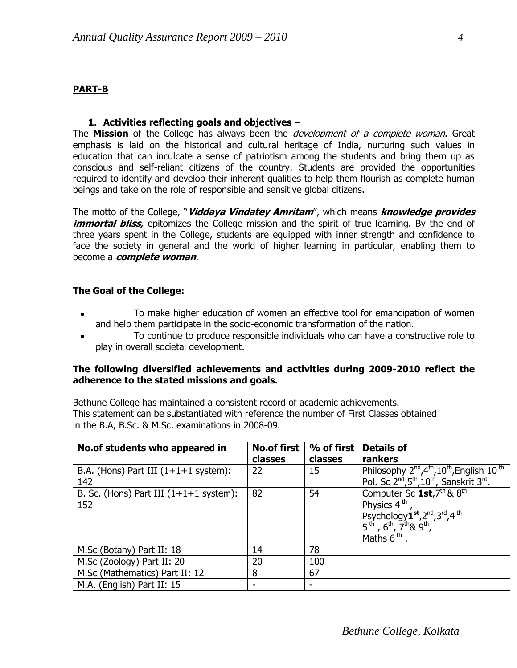#### **PART-B**

#### **1. Activities reflecting goals and objectives** –

The **Mission** of the College has always been the *development of a complete woman*. Great emphasis is laid on the historical and cultural heritage of India, nurturing such values in education that can inculcate a sense of patriotism among the students and bring them up as conscious and self-reliant citizens of the country. Students are provided the opportunities required to identify and develop their inherent qualities to help them flourish as complete human beings and take on the role of responsible and sensitive global citizens.

The motto of the College, "**Viddaya Vindatey Amritam**", which means **knowledge provides**  *immortal bliss*, epitomizes the College mission and the spirit of true learning. By the end of three years spent in the College, students are equipped with inner strength and confidence to face the society in general and the world of higher learning in particular, enabling them to become a **complete woman**.

#### **The Goal of the College:**

- To make higher education of women an effective tool for emancipation of women and help them participate in the socio-economic transformation of the nation.
- To continue to produce responsible individuals who can have a constructive role to play in overall societal development.

#### **The following diversified achievements and activities during 2009-2010 reflect the adherence to the stated missions and goals.**

Bethune College has maintained a consistent record of academic achievements. This statement can be substantiated with reference the number of First Classes obtained in the B.A, B.Sc. & M.Sc. examinations in 2008-09.

| No.of students who appeared in                   | <b>No.of first</b><br>classes | $%$ of first<br>classes | <b>Details of</b><br>rankers                                                                                                                                                                      |
|--------------------------------------------------|-------------------------------|-------------------------|---------------------------------------------------------------------------------------------------------------------------------------------------------------------------------------------------|
| B.A. (Hons) Part III $(1+1+1)$ system):<br>142   | 22                            | 15                      | Philosophy 2 <sup>nd</sup> , 4 <sup>th</sup> , 10 <sup>th</sup> , English 10 <sup>th</sup><br>Pol. Sc 2 <sup>nd</sup> , 5 <sup>th</sup> , 10 <sup>th</sup> , Sanskrit 3 <sup>rd</sup> .           |
| B. Sc. (Hons) Part III $(1+1+1)$ system):<br>152 | 82                            | 54                      | Computer Sc $1st$ , $7th$ & $8th$<br>Physics 4 <sup>th</sup><br>Psychology <sup>1st</sup> , 2 <sup>nd</sup> , 3 <sup>rd</sup> , 4 <sup>th</sup><br>$5th$ , $6th$ , $7th$ & $9th$ ,<br>Maths $6th$ |
| M.Sc (Botany) Part II: 18                        | 14                            | 78                      |                                                                                                                                                                                                   |
| M.Sc (Zoology) Part II: 20                       | 20                            | 100                     |                                                                                                                                                                                                   |
| M.Sc (Mathematics) Part II: 12                   | 8                             | 67                      |                                                                                                                                                                                                   |
| M.A. (English) Part II: 15                       |                               |                         |                                                                                                                                                                                                   |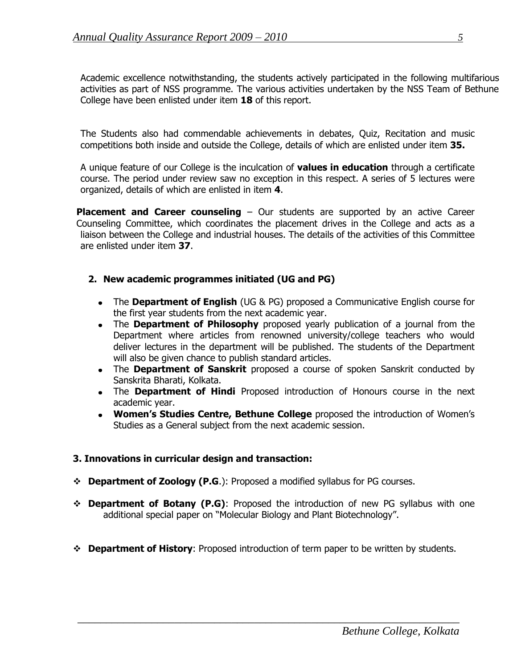Academic excellence notwithstanding, the students actively participated in the following multifarious activities as part of NSS programme. The various activities undertaken by the NSS Team of Bethune College have been enlisted under item **18** of this report.

The Students also had commendable achievements in debates, Quiz, Recitation and music competitions both inside and outside the College, details of which are enlisted under item **35.**

A unique feature of our College is the inculcation of **values in education** through a certificate course. The period under review saw no exception in this respect. A series of 5 lectures were organized, details of which are enlisted in item **4**.

**Placement and Career counseling** – Our students are supported by an active Career Counseling Committee, which coordinates the placement drives in the College and acts as a liaison between the College and industrial houses. The details of the activities of this Committee are enlisted under item **37**.

#### **2. New academic programmes initiated (UG and PG)**

- The **Department of English** (UG & PG) proposed a Communicative English course for the first year students from the next academic year.
- The **Department of Philosophy** proposed yearly publication of a journal from the Department where articles from renowned university/college teachers who would deliver lectures in the department will be published. The students of the Department will also be given chance to publish standard articles.
- The **Department of Sanskrit** proposed a course of spoken Sanskrit conducted by Sanskrita Bharati, Kolkata.
- The **Department of Hindi** Proposed introduction of Honours course in the next academic year.
- **Women's Studies Centre, Bethune College** proposed the introduction of Women"s Studies as a General subject from the next academic session.

#### **3. Innovations in curricular design and transaction:**

- **Department of Zoology (P.G**.): Proposed a modified syllabus for PG courses.
- **Department of Botany (P.G)**: Proposed the introduction of new PG syllabus with one additional special paper on "Molecular Biology and Plant Biotechnology".
- **Department of History**: Proposed introduction of term paper to be written by students.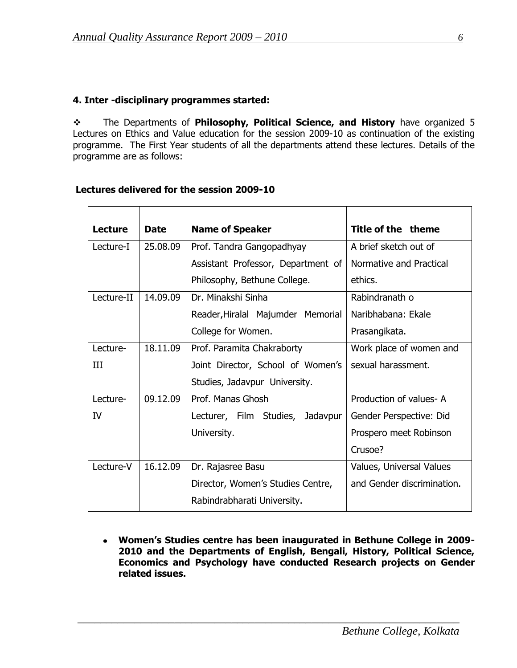#### **4. Inter -disciplinary programmes started:**

 The Departments of **Philosophy, Political Science, and History** have organized 5 Lectures on Ethics and Value education for the session 2009-10 as continuation of the existing programme. The First Year students of all the departments attend these lectures. Details of the programme are as follows:

#### **Lectures delivered for the session 2009-10**

| Lecture    | <b>Date</b> | <b>Name of Speaker</b>             | Title of the theme         |
|------------|-------------|------------------------------------|----------------------------|
| Lecture-I  | 25,08.09    | Prof. Tandra Gangopadhyay          | A brief sketch out of      |
|            |             | Assistant Professor, Department of | Normative and Practical    |
|            |             | Philosophy, Bethune College.       | ethics.                    |
| Lecture-II | 14.09.09    | Dr. Minakshi Sinha                 | Rabindranath o             |
|            |             | Reader, Hiralal Majumder Memorial  | Naribhabana: Ekale         |
|            |             | College for Women.                 | Prasangikata.              |
| Lecture-   | 18.11.09    | Prof. Paramita Chakraborty         | Work place of women and    |
| Ш          |             | Joint Director, School of Women's  | sexual harassment.         |
|            |             | Studies, Jadavpur University.      |                            |
| Lecture-   | 09.12.09    | Prof. Manas Ghosh                  | Production of values-A     |
| IV         |             | Lecturer, Film Studies, Jadavpur   | Gender Perspective: Did    |
|            |             | University.                        | Prospero meet Robinson     |
|            |             |                                    | Crusoe?                    |
| Lecture-V  | 16.12.09    | Dr. Rajasree Basu                  | Values, Universal Values   |
|            |             | Director, Women's Studies Centre,  | and Gender discrimination. |
|            |             | Rabindrabharati University.        |                            |

**Women's Studies centre has been inaugurated in Bethune College in 2009- 2010 and the Departments of English, Bengali, History, Political Science, Economics and Psychology have conducted Research projects on Gender related issues.**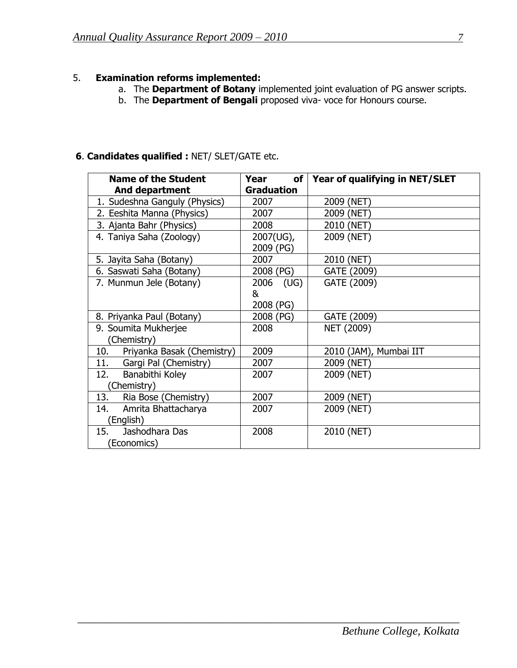# 5. **Examination reforms implemented:**

- a. The **Department of Botany** implemented joint evaluation of PG answer scripts.
- b. The **Department of Bengali** proposed viva- voce for Honours course.

# **6**. **Candidates qualified :** NET/ SLET/GATE etc.

| Name of the Student               | of l<br>Year      | Year of qualifying in NET/SLET |
|-----------------------------------|-------------------|--------------------------------|
| <b>And department</b>             | <b>Graduation</b> |                                |
| 1. Sudeshna Ganguly (Physics)     | 2007              | 2009 (NET)                     |
| 2. Eeshita Manna (Physics)        | 2007              | 2009 (NET)                     |
| 3. Ajanta Bahr (Physics)          | 2008              | 2010 (NET)                     |
| 4. Taniya Saha (Zoology)          | 2007(UG),         | 2009 (NET)                     |
|                                   | 2009 (PG)         |                                |
| 5. Jayita Saha (Botany)           | 2007              | 2010 (NET)                     |
| 6. Saswati Saha (Botany)          | 2008 (PG)         | GATE (2009)                    |
| 7. Munmun Jele (Botany)           | 2006 (UG)         | GATE (2009)                    |
|                                   | &                 |                                |
|                                   | 2008 (PG)         |                                |
| 8. Priyanka Paul (Botany)         | 2008 (PG)         | GATE (2009)                    |
| 9. Soumita Mukherjee              | 2008              | NET (2009)                     |
| (Chemistry)                       |                   |                                |
| Priyanka Basak (Chemistry)<br>10. | 2009              | 2010 (JAM), Mumbai IIT         |
| 11. Gargi Pal (Chemistry)         | 2007              | 2009 (NET)                     |
| 12.<br>Banabithi Koley            | 2007              | 2009 (NET)                     |
| Chemistry)                        |                   |                                |
| 13.<br>Ria Bose (Chemistry)       | 2007              | 2009 (NET)                     |
| 14.<br>Amrita Bhattacharya        | 2007              | 2009 (NET)                     |
| (English)                         |                   |                                |
| 15.<br>Jashodhara Das             | 2008              | 2010 (NET)                     |
| (Economics)                       |                   |                                |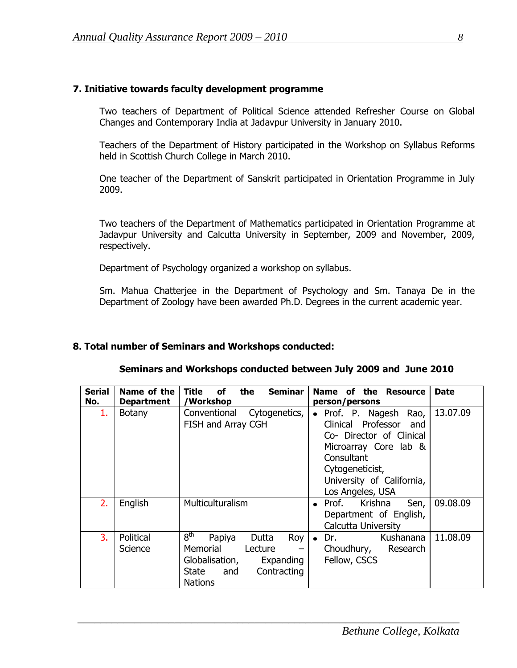#### **7. Initiative towards faculty development programme**

Two teachers of Department of Political Science attended Refresher Course on Global Changes and Contemporary India at Jadavpur University in January 2010.

Teachers of the Department of History participated in the Workshop on Syllabus Reforms held in Scottish Church College in March 2010.

One teacher of the Department of Sanskrit participated in Orientation Programme in July 2009.

Two teachers of the Department of Mathematics participated in Orientation Programme at Jadavpur University and Calcutta University in September, 2009 and November, 2009, respectively.

Department of Psychology organized a workshop on syllabus.

Sm. Mahua Chatterjee in the Department of Psychology and Sm. Tanaya De in the Department of Zoology have been awarded Ph.D. Degrees in the current academic year.

#### **8. Total number of Seminars and Workshops conducted:**

| Seminars and Workshops conducted between July 2009 and June 2010 |  |
|------------------------------------------------------------------|--|
|------------------------------------------------------------------|--|

| <b>Serial</b><br>No. | Name of the<br><b>Department</b> | Title<br><b>Seminar</b><br>the<br>οf<br>/Workshop                                                                                                       | of the Resource<br><b>Name</b><br>person/persons                                                                                                                                              | <b>Date</b> |
|----------------------|----------------------------------|---------------------------------------------------------------------------------------------------------------------------------------------------------|-----------------------------------------------------------------------------------------------------------------------------------------------------------------------------------------------|-------------|
| 1.                   | <b>Botany</b>                    | Conventional<br>Cytogenetics,<br>FISH and Array CGH                                                                                                     | • Prof. P. Nagesh<br>Rao,<br>Clinical Professor<br>and<br>Co- Director of Clinical<br>Microarray Core lab &<br>Consultant<br>Cytogeneticist,<br>University of California,<br>Los Angeles, USA | 13.07.09    |
| 2.                   | English                          | Multiculturalism                                                                                                                                        | Krishna<br>Prof.<br>Sen,<br>$\bullet$<br>Department of English,<br>Calcutta University                                                                                                        | 09.08.09    |
| 3.                   | Political<br>Science             | 8 <sup>th</sup><br>Papiya<br>Dutta<br><b>Roy</b><br>Memorial<br>Lecture<br>Globalisation,<br>Expanding<br>State<br>Contracting<br>and<br><b>Nations</b> | Kushanana<br>$\bullet$ Dr.<br>Choudhury, Research<br>Fellow, CSCS                                                                                                                             | 11.08.09    |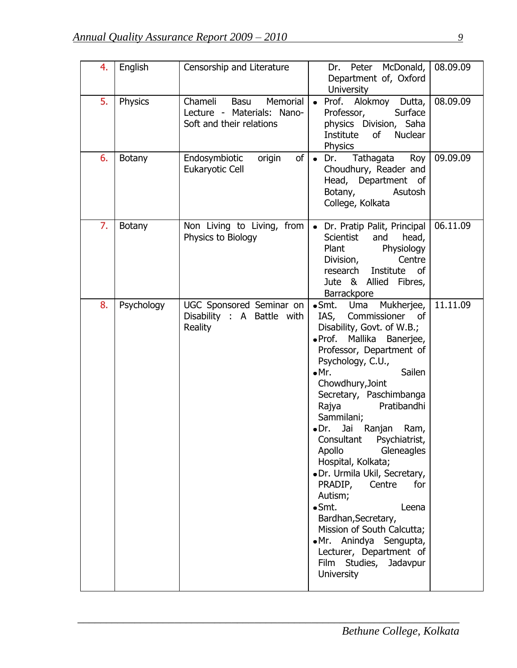| 4. | English       | Censorship and Literature                                                             | Dr. Peter McDonald,<br>Department of, Oxford<br><b>University</b>                                                                                                                                                                                                                                                                                                                                                                                                                                                                                                                                                                            | 08.09.09 |
|----|---------------|---------------------------------------------------------------------------------------|----------------------------------------------------------------------------------------------------------------------------------------------------------------------------------------------------------------------------------------------------------------------------------------------------------------------------------------------------------------------------------------------------------------------------------------------------------------------------------------------------------------------------------------------------------------------------------------------------------------------------------------------|----------|
| 5. | Physics       | Chameli<br>Basu<br>Memorial<br>Lecture - Materials: Nano-<br>Soft and their relations | Prof. Alokmoy Dutta,<br>Professor,<br>Surface<br>physics Division, Saha<br>Institute of Nuclear<br><b>Physics</b>                                                                                                                                                                                                                                                                                                                                                                                                                                                                                                                            | 08.09.09 |
| 6. | <b>Botany</b> | Endosymbiotic<br>of<br>origin<br>Eukaryotic Cell                                      | Tathagata<br>Roy<br>Dr.<br>$\bullet$<br>Choudhury, Reader and<br>Head, Department of<br>Asutosh<br>Botany,<br>College, Kolkata                                                                                                                                                                                                                                                                                                                                                                                                                                                                                                               | 09.09.09 |
| 7. | <b>Botany</b> | Non Living to Living, from<br>Physics to Biology                                      | • Dr. Pratip Palit, Principal<br>Scientist<br>and<br>head,<br>Physiology<br>Plant<br>Centre<br>Division,<br>research Institute of<br>Jute & Allied Fibres,<br>Barrackpore                                                                                                                                                                                                                                                                                                                                                                                                                                                                    | 06.11.09 |
| 8. | Psychology    | UGC Sponsored Seminar on<br>Disability : A Battle with<br>Reality                     | •Smt. Uma<br>Mukherjee,<br>IAS, Commissioner of<br>Disability, Govt. of W.B.;<br>· Prof. Mallika Banerjee,<br>Professor, Department of<br>Psychology, C.U.,<br>Sailen<br>$\bullet$ Mr.<br>Chowdhury, Joint<br>Secretary, Paschimbanga<br>Pratibandhi<br>Rajya<br>Sammilani;<br>•Dr. Jai Ranjan Ram,<br>Consultant Psychiatrist,<br>Apollo<br>Gleneagles<br>Hospital, Kolkata;<br>· Dr. Urmila Ukil, Secretary,<br>PRADIP,<br>Centre<br>for<br>Autism;<br>$\bullet$ Smt.<br>Leena<br>Bardhan, Secretary,<br>Mission of South Calcutta;<br>·Mr. Anindya Sengupta,<br>Lecturer, Department of<br>Film<br>Studies, Jadavpur<br><b>University</b> | 11.11.09 |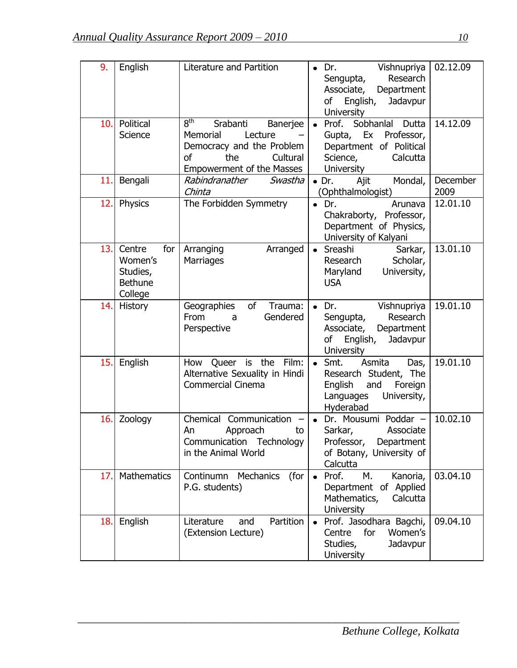| 9.  | English                                                           | Literature and Partition                                                                                                                                 | Vishnupriya<br>Dr.<br>Research<br>Sengupta,<br>Department<br>Associate,<br>of<br>English,<br>Jadavpur<br><b>University</b>                  | 02.12.09         |
|-----|-------------------------------------------------------------------|----------------------------------------------------------------------------------------------------------------------------------------------------------|---------------------------------------------------------------------------------------------------------------------------------------------|------------------|
| 10. | Political<br>Science                                              | 8 <sup>th</sup><br>Srabanti<br>Banerjee<br>Memorial<br>Lecture<br>Democracy and the Problem<br>the<br>Cultural<br>οf<br><b>Empowerment of the Masses</b> | Prof.<br>Sobhanlal Dutta<br>$\bullet$<br>Ex<br>Professor,<br>Gupta,<br>Department of Political<br>Science,<br>Calcutta<br><b>University</b> | 14.12.09         |
| 11. | Bengali                                                           | Rabindranather<br>Swastha<br>Chinta                                                                                                                      | Ajit<br>Mondal,<br>$\bullet$ Dr.<br>(Ophthalmologist)                                                                                       | December<br>2009 |
| 12. | Physics                                                           | The Forbidden Symmetry                                                                                                                                   | Dr.<br>Arunava<br>$\bullet$<br>Chakraborty, Professor,<br>Department of Physics,<br>University of Kalyani                                   | 12.01.10         |
| 13. | Centre<br>for<br>Women's<br>Studies,<br><b>Bethune</b><br>College | Arranging<br>Arranged<br>Marriages                                                                                                                       | Sreashi<br>Sarkar,<br>$\bullet$<br>Scholar,<br>Research<br>Maryland<br>University,<br><b>USA</b>                                            | 13.01.10         |
| 14. | History                                                           | of<br>Geographies<br>Trauma:<br>Gendered<br>From<br>a<br>Perspective                                                                                     | Dr.<br>Vishnupriya<br>$\bullet$<br>Research<br>Sengupta,<br>Associate,<br>Department<br>Jadavpur<br>of<br>English,<br><b>University</b>     | 19.01.10         |
| 15. | English                                                           | is the<br>Film:<br>How Queer<br>Alternative Sexuality in Hindi<br><b>Commercial Cinema</b>                                                               | $\bullet$ Smt.<br>Asmita<br>Das,<br>Research Student, The<br>and<br>Foreign<br>English<br>Languages<br>University,<br>Hyderabad             | 19.01.10         |
| 16. | Zoology                                                           | Chemical<br>Communication<br>An<br>Approach<br>to<br>Communication<br>Technology<br>in the Animal World                                                  | Dr. Mousumi Poddar -<br>Sarkar,<br>Associate<br>Professor,<br>Department<br>of Botany, University of<br>Calcutta                            | 10.02.10         |
| 17. | <b>Mathematics</b>                                                | Continumn Mechanics<br>(for<br>P.G. students)                                                                                                            | М.<br>Kanoria,<br>Prof.<br>$\bullet$<br>Department of Applied<br>Mathematics,<br>Calcutta<br>University                                     | 03.04.10         |
| 18. | English                                                           | Partition<br>Literature<br>and<br>(Extension Lecture)                                                                                                    | Prof. Jasodhara Bagchi,<br>Centre<br>for<br>Women's<br>Studies,<br>Jadavpur<br><b>University</b>                                            | 09.04.10         |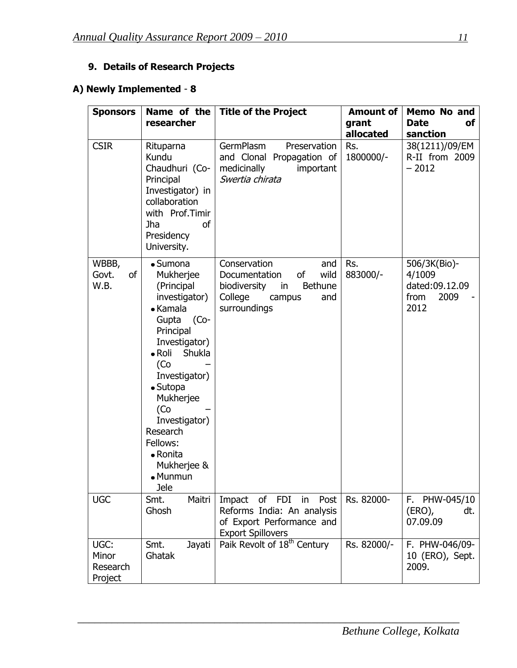# **9. Details of Research Projects**

# **A) Newly Implemented** - **8**

| <b>Sponsors</b>                      | Name of the<br>researcher                                                                                                                                                                                                                                                                                            | <b>Title of the Project</b>                                                                                                            | <b>Amount of</b><br>grant | <b>Memo No and</b><br><b>Date</b><br>оf                          |
|--------------------------------------|----------------------------------------------------------------------------------------------------------------------------------------------------------------------------------------------------------------------------------------------------------------------------------------------------------------------|----------------------------------------------------------------------------------------------------------------------------------------|---------------------------|------------------------------------------------------------------|
|                                      |                                                                                                                                                                                                                                                                                                                      |                                                                                                                                        | allocated                 | sanction                                                         |
| <b>CSIR</b>                          | Rituparna<br>Kundu<br>Chaudhuri (Co-<br>Principal<br>Investigator) in<br>collaboration<br>with Prof.Timir<br><sub>of</sub><br><b>Jha</b><br>Presidency<br>University.                                                                                                                                                | GermPlasm<br>Preservation<br>and Clonal Propagation of<br>medicinally<br>important<br>Swertia chirata                                  | Rs.<br>1800000/-          | 38(1211)/09/EM<br>R-II from 2009<br>$-2012$                      |
| WBBB,<br>of<br>Govt.<br>W.B.         | $\bullet$ Sumona<br>Mukherjee<br>(Principal<br>investigator)<br>• Kamala<br>$(Co-$<br>Gupta<br>Principal<br>Investigator)<br>$\bullet$ Roli<br>Shukla<br>(Co<br>Investigator)<br>$\bullet$ Sutopa<br>Mukherjee<br>(Co<br>Investigator)<br>Research<br>Fellows:<br>• Ronita<br>Mukherjee &<br>• Munmun<br><b>Jele</b> | Conservation<br>and<br>of<br>wild<br>Documentation<br><b>Bethune</b><br>biodiversity<br>in<br>College<br>and<br>campus<br>surroundings | Rs.<br>883000/-           | 506/3K(Bio)-<br>4/1009<br>dated:09.12.09<br>from<br>2009<br>2012 |
| <b>UGC</b>                           | Maitri<br>Smt.<br>Ghosh                                                                                                                                                                                                                                                                                              | of<br><b>FDI</b><br>Impact<br>in<br>Post<br>Reforms India: An analysis<br>of Export Performance and<br><b>Export Spillovers</b>        | Rs. 82000-                | F. PHW-045/10<br>$(ERO)$ ,<br>dt.<br>07.09.09                    |
| UGC:<br>Minor<br>Research<br>Project | Smt.<br>Jayati<br>Ghatak                                                                                                                                                                                                                                                                                             | Paik Revolt of 18 <sup>th</sup> Century                                                                                                | Rs. 82000/-               | F. PHW-046/09-<br>10 (ERO), Sept.<br>2009.                       |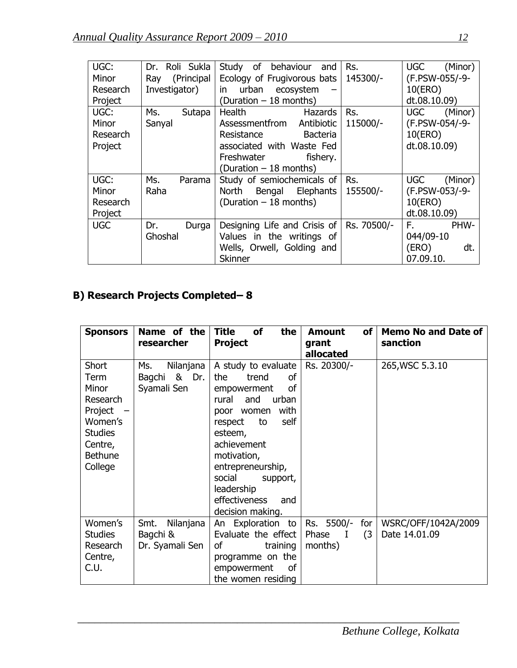| UGC:       | Dr. Roli Sukla    | of<br>behaviour<br>Study<br>and | Rs.         | <b>UGC</b><br>(Minor) |
|------------|-------------------|---------------------------------|-------------|-----------------------|
| Minor      | (Principal<br>Ray | Ecology of Frugivorous bats     | 145300/-    | (F.PSW-055/-9-        |
| Research   | Investigator)     | urban ecosystem<br>in.          |             | 10(ERO)               |
| Project    |                   | (Duration - 18 months)          |             | dt.08.10.09)          |
| UGC:       | Ms.<br>Sutapa     | Health<br><b>Hazards</b>        | Rs.         | <b>UGC</b><br>(Minor) |
| Minor      | Sanyal            | Assessmentfrom<br>Antibiotic    | 115000/-    | (F.PSW-054/-9-        |
| Research   |                   | Resistance<br><b>Bacteria</b>   |             | 10(ERO)               |
| Project    |                   | associated with Waste Fed       |             | dt.08.10.09)          |
|            |                   | Freshwater<br>fishery.          |             |                       |
|            |                   | (Duration – 18 months)          |             |                       |
| UGC:       | Ms.<br>Parama     | Study of semiochemicals of      | Rs.         | <b>UGC</b><br>(Minor) |
| Minor      | Raha              | Bengal Elephants<br>North       | 155500/-    | (F.PSW-053/-9-        |
| Research   |                   | (Duration - 18 months)          |             | 10(ERO)               |
| Project    |                   |                                 |             | dt.08.10.09)          |
| <b>UGC</b> | Dr.<br>Durga      | Designing Life and Crisis of    | Rs. 70500/- | F.<br>PHW-            |
|            | Ghoshal           | Values in the writings of       |             | 044/09-10             |
|            |                   | Wells, Orwell, Golding and      |             | (ERO)<br>dt.          |
|            |                   | <b>Skinner</b>                  |             | 07.09.10.             |

# **B) Research Projects Completed– 8**

| <b>Sponsors</b>                                                                                                           | Name of the<br>researcher                          | <b>Title</b><br><b>of</b><br>the<br><b>Project</b>                                                                                                                                                                                                                                                         | <b>of</b><br><b>Amount</b><br>grant<br>allocated        | <b>Memo No and Date of</b><br>sanction |
|---------------------------------------------------------------------------------------------------------------------------|----------------------------------------------------|------------------------------------------------------------------------------------------------------------------------------------------------------------------------------------------------------------------------------------------------------------------------------------------------------------|---------------------------------------------------------|----------------------------------------|
| <b>Short</b><br>Term<br>Minor<br>Research<br>Project<br>Women's<br><b>Studies</b><br>Centre,<br><b>Bethune</b><br>College | Nilanjana<br>Ms.<br>& Dr.<br>Bagchi<br>Syamali Sen | A study to evaluate<br><sub>of</sub><br>the<br>trend<br><sub>of</sub><br>empowerment<br>rural<br>and<br>urban<br>with<br>poor women<br>self<br>respect<br>to<br>esteem,<br>achievement<br>motivation,<br>entrepreneurship,<br>social<br>support,<br>leadership<br>effectiveness<br>and<br>decision making. | Rs. 20300/-                                             | 265, WSC 5.3.10                        |
| Women's<br><b>Studies</b><br>Research<br>Centre,<br>C.U.                                                                  | Nilanjana<br>Smt.<br>Bagchi &<br>Dr. Syamali Sen   | An Exploration to<br>Evaluate the effect<br>οf<br>training<br>programme on the<br>empowerment<br>οf<br>the women residing                                                                                                                                                                                  | Rs. 5500/-<br>for<br>(3)<br>Phase<br>$\bf I$<br>months) | WSRC/OFF/1042A/2009<br>Date 14.01.09   |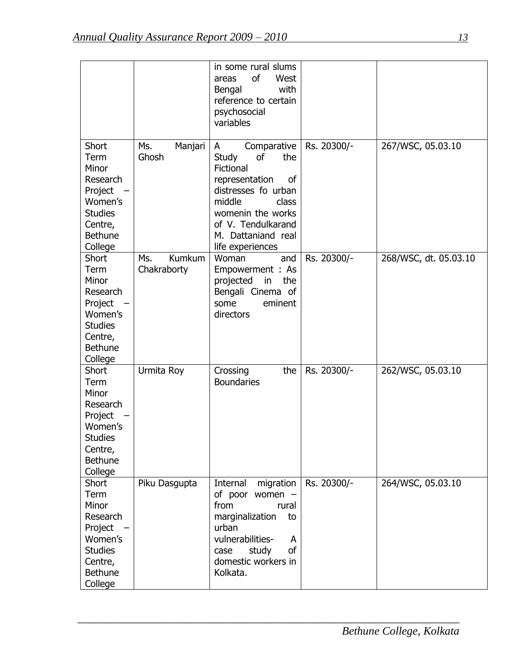|                                                                                                                           |                              | in some rural slums<br>of<br>West<br>areas<br>with<br>Bengal<br>reference to certain<br>psychosocial<br>variables                                                                                                 |             |                       |
|---------------------------------------------------------------------------------------------------------------------------|------------------------------|-------------------------------------------------------------------------------------------------------------------------------------------------------------------------------------------------------------------|-------------|-----------------------|
| Short<br>Term<br>Minor<br>Research<br>Project<br>Women's<br><b>Studies</b><br>Centre,<br><b>Bethune</b><br>College        | Ms.<br>Manjari<br>Ghosh      | Comparative<br>A<br>of<br><b>Study</b><br>the<br>Fictional<br>representation<br>οf<br>distresses fo urban<br>middle<br>class<br>womenin the works<br>of V. Tendulkarand<br>M. Dattaniand real<br>life experiences | Rs. 20300/- | 267/WSC, 05.03.10     |
| <b>Short</b><br>Term<br>Minor<br>Research<br>Project<br>Women's<br><b>Studies</b><br>Centre,<br><b>Bethune</b><br>College | Kumkum<br>Ms.<br>Chakraborty | Woman<br>and<br>Empowerment: As<br>projected<br>in<br>the<br>Bengali Cinema of<br>some<br>eminent<br>directors                                                                                                    | Rs. 20300/- | 268/WSC, dt. 05.03.10 |
| Short<br>Term<br>Minor<br>Research<br>Project<br>Women's<br><b>Studies</b><br>Centre,<br><b>Bethune</b><br>College        | Urmita Roy                   | Crossing<br>the<br><b>Boundaries</b>                                                                                                                                                                              | Rs. 20300/- | 262/WSC, 05.03.10     |
| Short<br>Term<br>Minor<br>Research<br>Project<br>Women's<br><b>Studies</b><br>Centre,<br><b>Bethune</b><br>College        | Piku Dasgupta                | Internal<br>migration<br>of poor women -<br>from<br>rural<br>marginalization<br>to<br>urban<br>vulnerabilities-<br>A<br>study<br>of<br>case<br>domestic workers in<br>Kolkata.                                    | Rs. 20300/- | 264/WSC, 05.03.10     |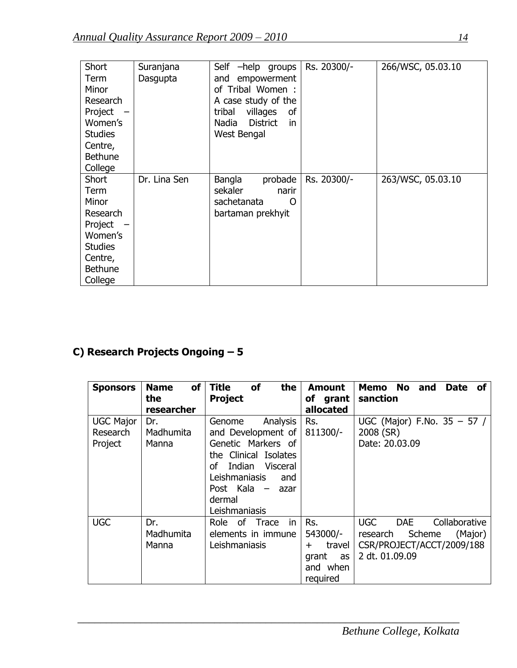| Short          | Suranjana    | Self<br>$-$ help<br>groups     | Rs. 20300/- | 266/WSC, 05.03.10 |
|----------------|--------------|--------------------------------|-------------|-------------------|
| Term           | Dasgupta     | empowerment<br>and             |             |                   |
| Minor          |              | of Tribal Women:               |             |                   |
| Research       |              | A case study of the            |             |                   |
| Project        |              | villages<br>tribal<br>οf       |             |                   |
| Women's        |              | <b>District</b><br>Nadia<br>in |             |                   |
| <b>Studies</b> |              | West Bengal                    |             |                   |
| Centre,        |              |                                |             |                   |
| <b>Bethune</b> |              |                                |             |                   |
| College        |              |                                |             |                   |
| Short          | Dr. Lina Sen | Bangla<br>probade              | Rs. 20300/- | 263/WSC, 05.03.10 |
| Term           |              | sekaler<br>narir               |             |                   |
| Minor          |              | sachetanata<br>O               |             |                   |
| Research       |              | bartaman prekhyit              |             |                   |
| Project        |              |                                |             |                   |
| Women's        |              |                                |             |                   |
| <b>Studies</b> |              |                                |             |                   |
| Centre,        |              |                                |             |                   |
| <b>Bethune</b> |              |                                |             |                   |
| College        |              |                                |             |                   |

# **C) Research Projects Ongoing – 5**

| <b>Sponsors</b>                         | <b>of</b><br><b>Name</b><br>the<br>researcher | <b>Title</b><br>of<br>the<br><b>Project</b>                                                                                                                                                  | <b>Amount</b><br>of grant<br>allocated                                    | Memo No<br><b>Date</b><br>and<br>of<br>sanction                                                                           |
|-----------------------------------------|-----------------------------------------------|----------------------------------------------------------------------------------------------------------------------------------------------------------------------------------------------|---------------------------------------------------------------------------|---------------------------------------------------------------------------------------------------------------------------|
| <b>UGC Major</b><br>Research<br>Project | Dr.<br>Madhumita<br>Manna                     | Analysis<br>Genome<br>and Development of<br>Genetic Markers of<br>the Clinical Isolates<br>Indian Visceral<br>οf<br>Leishmaniasis<br>and<br>Post Kala $-$<br>azar<br>dermal<br>Leishmaniasis | Rs.<br>811300/-                                                           | UGC (Major) F.No. 35 - 57 /<br>2008 (SR)<br>Date: 20.03.09                                                                |
| <b>UGC</b>                              | Dr.<br>Madhumita<br>Manna                     | Role of Trace<br>in<br>elements in immune<br>Leishmaniasis                                                                                                                                   | Rs.<br>543000/-<br>travel<br>$\pm$<br>grant<br>as<br>and when<br>required | <b>UGC</b><br><b>DAE</b><br>Collaborative<br>Scheme<br>(Major)<br>research<br>CSR/PROJECT/ACCT/2009/188<br>2 dt. 01.09.09 |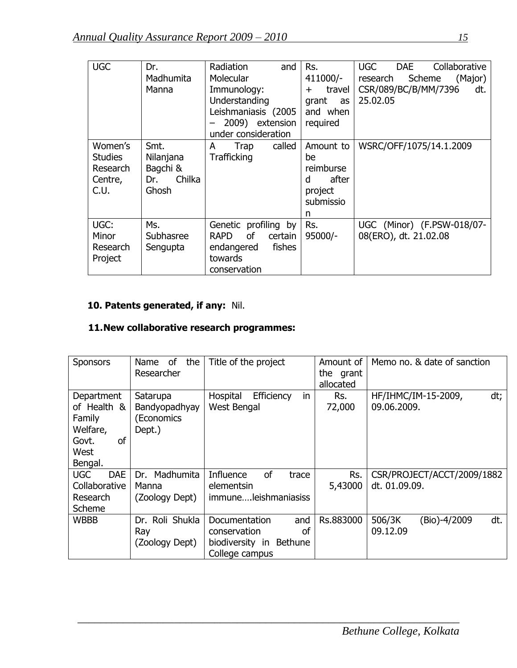| <b>UGC</b>                                               | Dr.<br>Madhumita<br>Manna                               | Radiation<br>and<br>Molecular<br>Immunology:<br>Understanding<br>Leishmaniasis (2005<br>2009) extension<br>under consideration | Rs.<br>411000/-<br>travel<br>$\pm$<br>grant<br>as<br>and when<br>required | <b>UGC</b><br>Collaborative<br><b>DAE</b><br>Scheme<br>research<br>(Major)<br>CSR/089/BC/B/MM/7396<br>dt.<br>25.02.05 |
|----------------------------------------------------------|---------------------------------------------------------|--------------------------------------------------------------------------------------------------------------------------------|---------------------------------------------------------------------------|-----------------------------------------------------------------------------------------------------------------------|
| Women's<br><b>Studies</b><br>Research<br>Centre,<br>C.U. | Smt.<br>Nilanjana<br>Bagchi &<br>Chilka<br>Dr.<br>Ghosh | called<br>Trap<br>A<br><b>Trafficking</b>                                                                                      | Amount to<br>be<br>reimburse<br>after<br>d<br>project<br>submissio<br>n   | WSRC/OFF/1075/14.1.2009                                                                                               |
| UGC:<br>Minor<br>Research<br>Project                     | Ms.<br>Subhasree<br>Sengupta                            | Genetic profiling by<br>0f<br><b>RAPD</b><br>certain<br>fishes<br>endangered<br>towards<br>conservation                        | Rs.<br>$95000/-$                                                          | UGC (Minor) (F.PSW-018/07-<br>08(ERO), dt. 21.02.08                                                                   |

# **10. Patents generated, if any:** Nil.

# **11.New collaborative research programmes:**

| <b>Sponsors</b>                                                                   | of<br>the<br>Name<br>Researcher                   | Title of the project                                                                       | Amount of<br>the grant<br>allocated | Memo no. & date of sanction                 |
|-----------------------------------------------------------------------------------|---------------------------------------------------|--------------------------------------------------------------------------------------------|-------------------------------------|---------------------------------------------|
| Department<br>of Health &<br>Family<br>Welfare,<br>of<br>Govt.<br>West<br>Bengal. | Satarupa<br>Bandyopadhyay<br>(Economics<br>Dept.) | in<br>Efficiency<br>Hospital<br>West Bengal                                                | Rs.<br>72,000                       | HF/IHMC/IM-15-2009,<br>dt;<br>09.06.2009.   |
| <b>UGC</b><br><b>DAE</b><br>Collaborative<br>Research<br>Scheme                   | Madhumita<br>Dr.<br>Manna<br>(Zoology Dept)       | Influence<br>οf<br>trace<br>elementsin<br>immuneleishmaniasiss                             | Rs.<br>5,43000                      | CSR/PROJECT/ACCT/2009/1882<br>dt. 01.09.09. |
| <b>WBBB</b>                                                                       | Dr. Roli Shukla<br>Ray<br>(Zoology Dept)          | and<br>Documentation<br>conservation<br>οf<br>biodiversity in<br>Bethune<br>College campus | Rs.883000                           | dt.<br>506/3K<br>(Bio)-4/2009<br>09.12.09   |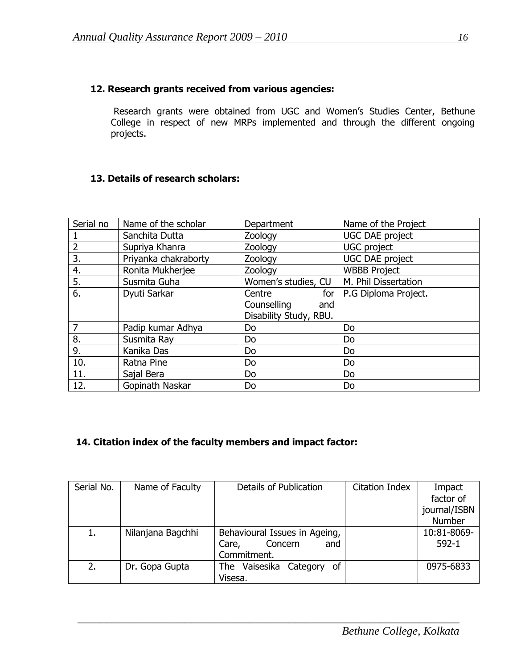# **12. Research grants received from various agencies:**

Research grants were obtained from UGC and Women's Studies Center, Bethune College in respect of new MRPs implemented and through the different ongoing projects.

## **13. Details of research scholars:**

| Serial no      | Name of the scholar  | Department             | Name of the Project    |
|----------------|----------------------|------------------------|------------------------|
|                | Sanchita Dutta       | Zoology                | <b>UGC DAE project</b> |
| $\overline{2}$ | Supriya Khanra       | Zoology                | UGC project            |
| 3.             | Priyanka chakraborty | Zoology                | <b>UGC DAE project</b> |
| 4.             | Ronita Mukherjee     | Zoology                | <b>WBBB Project</b>    |
| 5.             | Susmita Guha         | Women's studies, CU    | M. Phil Dissertation   |
| 6.             | Dyuti Sarkar         | Centre<br>for          | P.G Diploma Project.   |
|                |                      | Counselling<br>and     |                        |
|                |                      | Disability Study, RBU. |                        |
| 7              | Padip kumar Adhya    | Do                     | Do                     |
| 8.             | Susmita Ray          | <b>Do</b>              | Do                     |
| 9.             | Kanika Das           | Do                     | Do                     |
| 10.            | Ratna Pine           | Do                     | Do                     |
| 11.            | Sajal Bera           | Do                     | Do                     |
| 12.            | Gopinath Naskar      | Do                     | Do                     |

# **14. Citation index of the faculty members and impact factor:**

| Serial No. | Name of Faculty   | Details of Publication        | <b>Citation Index</b> | Impact       |
|------------|-------------------|-------------------------------|-----------------------|--------------|
|            |                   |                               |                       | factor of    |
|            |                   |                               |                       | journal/ISBN |
|            |                   |                               |                       | Number       |
|            | Nilanjana Bagchhi | Behavioural Issues in Ageing, |                       | 10:81-8069-  |
|            |                   | Concern<br>and<br>Care,       |                       | $592 - 1$    |
|            |                   | Commitment.                   |                       |              |
| 2.         | Dr. Gopa Gupta    | The Vaisesika Category<br>of  |                       | 0975-6833    |
|            |                   | Visesa.                       |                       |              |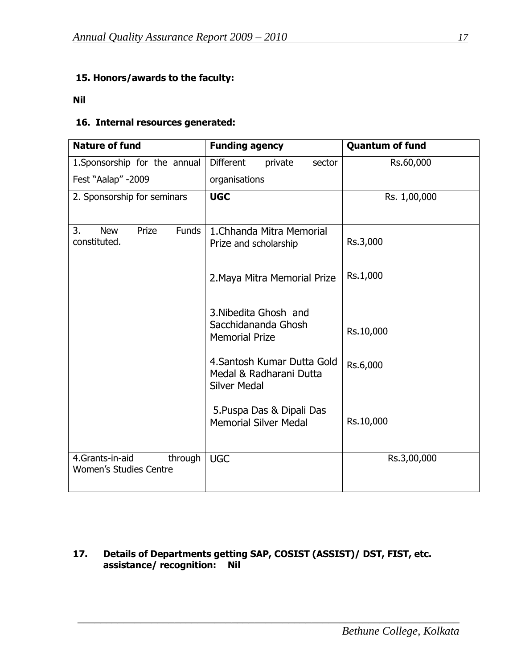# **15. Honors/awards to the faculty:**

#### **Nil**

# **16. Internal resources generated:**

| <b>Nature of fund</b>                                       | <b>Funding agency</b>                                                         | <b>Quantum of fund</b> |
|-------------------------------------------------------------|-------------------------------------------------------------------------------|------------------------|
| 1. Sponsorship for the annual                               | <b>Different</b><br>private<br>sector                                         | Rs.60,000              |
| Fest "Aalap" -2009                                          | organisations                                                                 |                        |
| 2. Sponsorship for seminars                                 | <b>UGC</b>                                                                    | Rs. 1,00,000           |
| Prize<br><b>Funds</b><br>3.<br><b>New</b><br>constituted.   | 1. Chhanda Mitra Memorial<br>Prize and scholarship                            | Rs.3,000               |
|                                                             | 2. Maya Mitra Memorial Prize                                                  | Rs.1,000               |
|                                                             | 3. Nibedita Ghosh and<br>Sacchidananda Ghosh<br><b>Memorial Prize</b>         | Rs.10,000              |
|                                                             | 4. Santosh Kumar Dutta Gold<br>Medal & Radharani Dutta<br><b>Silver Medal</b> | Rs.6,000               |
|                                                             | 5. Puspa Das & Dipali Das<br><b>Memorial Silver Medal</b>                     | Rs.10,000              |
| 4.Grants-in-aid<br>through<br><b>Women's Studies Centre</b> | <b>UGC</b>                                                                    | Rs.3,00,000            |

# **17. Details of Departments getting SAP, COSIST (ASSIST)/ DST, FIST, etc. assistance/ recognition: Nil**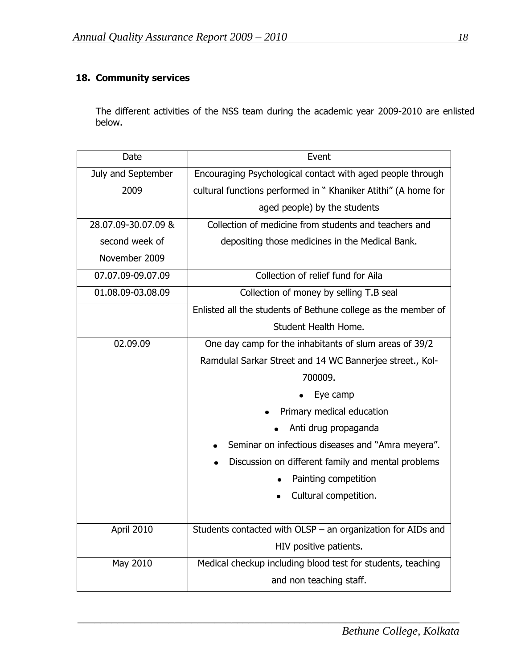# **18. Community services**

The different activities of the NSS team during the academic year 2009-2010 are enlisted below.

| Date                | Event                                                         |
|---------------------|---------------------------------------------------------------|
| July and September  | Encouraging Psychological contact with aged people through    |
| 2009                | cultural functions performed in "Khaniker Atithi" (A home for |
|                     | aged people) by the students                                  |
| 28.07.09-30.07.09 & | Collection of medicine from students and teachers and         |
| second week of      | depositing those medicines in the Medical Bank.               |
| November 2009       |                                                               |
| 07.07.09-09.07.09   | Collection of relief fund for Aila                            |
| 01.08.09-03.08.09   | Collection of money by selling T.B seal                       |
|                     | Enlisted all the students of Bethune college as the member of |
|                     | Student Health Home.                                          |
| 02.09.09            | One day camp for the inhabitants of slum areas of 39/2        |
|                     | Ramdulal Sarkar Street and 14 WC Bannerjee street., Kol-      |
|                     | 700009.                                                       |
|                     | Eye camp                                                      |
|                     | Primary medical education                                     |
|                     | Anti drug propaganda                                          |
|                     | Seminar on infectious diseases and "Amra meyera".             |
|                     | Discussion on different family and mental problems            |
|                     | Painting competition                                          |
|                     | Cultural competition.                                         |
|                     |                                                               |
| April 2010          | Students contacted with OLSP $-$ an organization for AIDs and |
|                     | HIV positive patients.                                        |
| May 2010            | Medical checkup including blood test for students, teaching   |
|                     | and non teaching staff.                                       |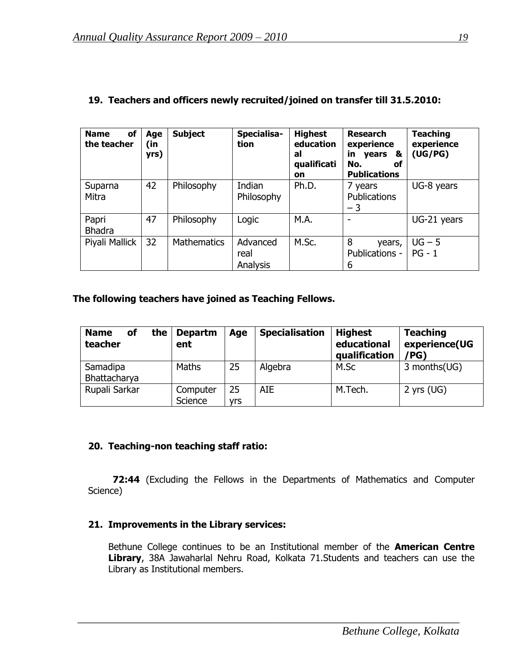| of<br><b>Name</b><br>the teacher | Age<br>(in<br>yrs) | <b>Subject</b>     | Specialisa-<br>tion          | <b>Highest</b><br>education<br>al<br>qualificati<br>on | <b>Research</b><br>experience<br>in<br>years<br>&<br>No.<br>оf<br><b>Publications</b> | <b>Teaching</b><br>experience<br>(UG/PG) |
|----------------------------------|--------------------|--------------------|------------------------------|--------------------------------------------------------|---------------------------------------------------------------------------------------|------------------------------------------|
| Suparna<br>Mitra                 | 42                 | Philosophy         | Indian<br>Philosophy         | Ph.D.                                                  | 7 years<br><b>Publications</b><br>$-3$                                                | UG-8 years                               |
| Papri<br><b>Bhadra</b>           | 47                 | Philosophy         | Logic                        | M.A.                                                   | ۰                                                                                     | UG-21 years                              |
| Piyali Mallick                   | 32                 | <b>Mathematics</b> | Advanced<br>real<br>Analysis | M.Sc.                                                  | 8<br>years,<br>Publications -<br>6                                                    | $UG - 5$<br>$PG - 1$                     |

# **19. Teachers and officers newly recruited/joined on transfer till 31.5.2010:**

#### **The following teachers have joined as Teaching Fellows.**

| the<br>οf<br><b>Name</b><br>teacher | <b>Departm</b><br>ent | Age              | <b>Specialisation</b> | <b>Highest</b><br>educational<br>qualification | <b>Teaching</b><br>experience(UG<br>/PG) |
|-------------------------------------|-----------------------|------------------|-----------------------|------------------------------------------------|------------------------------------------|
| Samadipa<br>Bhattacharya            | <b>Maths</b>          | 25               | Algebra               | M.Sc                                           | 3 months(UG)                             |
| Rupali Sarkar                       | Computer<br>Science   | 25<br><b>vrs</b> | <b>AIE</b>            | M.Tech.                                        | 2 yrs $(UG)$                             |

#### **20. Teaching-non teaching staff ratio:**

 **72:44** (Excluding the Fellows in the Departments of Mathematics and Computer Science)

#### **21. Improvements in the Library services:**

Bethune College continues to be an Institutional member of the **American Centre Library**, 38A Jawaharlal Nehru Road, Kolkata 71.Students and teachers can use the Library as Institutional members.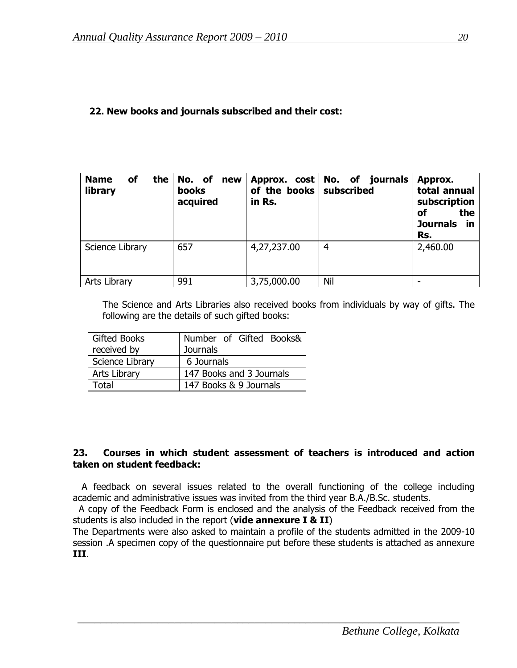#### **22. New books and journals subscribed and their cost:**

| <b>of</b><br>the<br><b>Name</b><br>library | No. of<br>new<br>books<br>acquired | of the books<br>in Rs. | Approx. cost   No. of journals<br>subscribed | Approx.<br>total annual<br>subscription<br>the<br>οf<br><b>Journals</b><br>in<br>Rs. |
|--------------------------------------------|------------------------------------|------------------------|----------------------------------------------|--------------------------------------------------------------------------------------|
| Science Library                            | 657                                | 4,27,237.00            | $\overline{4}$                               | 2,460.00                                                                             |
| Arts Library                               | 991                                | 3,75,000.00            | Nil                                          |                                                                                      |

The Science and Arts Libraries also received books from individuals by way of gifts. The following are the details of such gifted books:

| <b>Gifted Books</b> | Number of Gifted Books&  |
|---------------------|--------------------------|
| received by         | <b>Journals</b>          |
| Science Library     | 6 Journals               |
| Arts Library        | 147 Books and 3 Journals |
| Fotal               | 147 Books & 9 Journals   |

#### **23. Courses in which student assessment of teachers is introduced and action taken on student feedback:**

 A feedback on several issues related to the overall functioning of the college including academic and administrative issues was invited from the third year B.A./B.Sc. students.

 A copy of the Feedback Form is enclosed and the analysis of the Feedback received from the students is also included in the report (**vide annexure I & II**)

The Departments were also asked to maintain a profile of the students admitted in the 2009-10 session .A specimen copy of the questionnaire put before these students is attached as annexure **III**.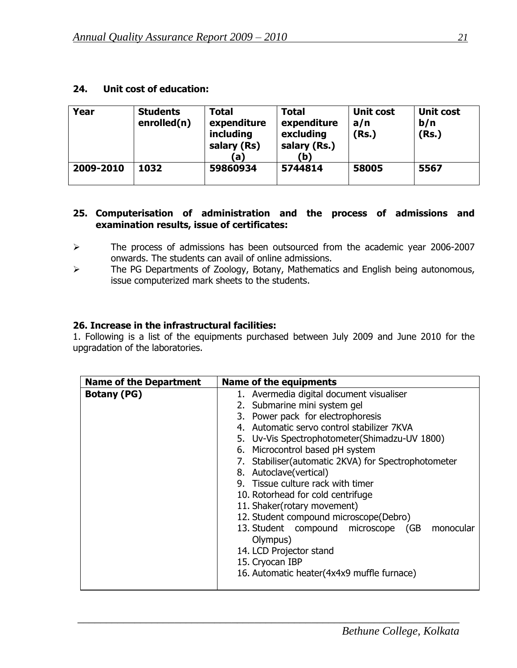#### **24. Unit cost of education:**

| Year      | <b>Students</b><br>enrolled(n) | <b>Total</b><br>expenditure<br>including<br>salary (Rs)<br>(a) | <b>Total</b><br>expenditure<br>excluding<br>salary (Rs.)<br>(b) | <b>Unit cost</b><br>a/n<br>(Rs.) | <b>Unit cost</b><br>b/n<br>(Rs.) |
|-----------|--------------------------------|----------------------------------------------------------------|-----------------------------------------------------------------|----------------------------------|----------------------------------|
| 2009-2010 | 1032                           | 59860934                                                       | 5744814                                                         | 58005                            | 5567                             |

#### **25. Computerisation of administration and the process of admissions and examination results, issue of certificates:**

- The process of admissions has been outsourced from the academic year 2006-2007 onwards. The students can avail of online admissions.
- > The PG Departments of Zoology, Botany, Mathematics and English being autonomous, issue computerized mark sheets to the students.

## **26. Increase in the infrastructural facilities:**

1. Following is a list of the equipments purchased between July 2009 and June 2010 for the upgradation of the laboratories.

| <b>Name of the Department</b> | <b>Name of the equipments</b>                        |  |
|-------------------------------|------------------------------------------------------|--|
| <b>Botany (PG)</b>            | 1. Avermedia digital document visualiser             |  |
|                               | 2. Submarine mini system gel                         |  |
|                               | 3. Power pack for electrophoresis                    |  |
|                               | 4. Automatic servo control stabilizer 7KVA           |  |
|                               | 5. Uv-Vis Spectrophotometer(Shimadzu-UV 1800)        |  |
|                               | 6. Microcontrol based pH system                      |  |
|                               | 7. Stabiliser (automatic 2KVA) for Spectrophotometer |  |
|                               | 8. Autoclave(vertical)                               |  |
|                               | 9. Tissue culture rack with timer                    |  |
|                               | 10. Rotorhead for cold centrifuge                    |  |
|                               | 11. Shaker(rotary movement)                          |  |
|                               | 12. Student compound microscope(Debro)               |  |
|                               | 13. Student compound microscope (GB<br>monocular     |  |
|                               | Olympus)                                             |  |
|                               | 14. LCD Projector stand                              |  |
|                               | 15. Cryocan IBP                                      |  |
|                               | 16. Automatic heater (4x4x9 muffle furnace)          |  |
|                               |                                                      |  |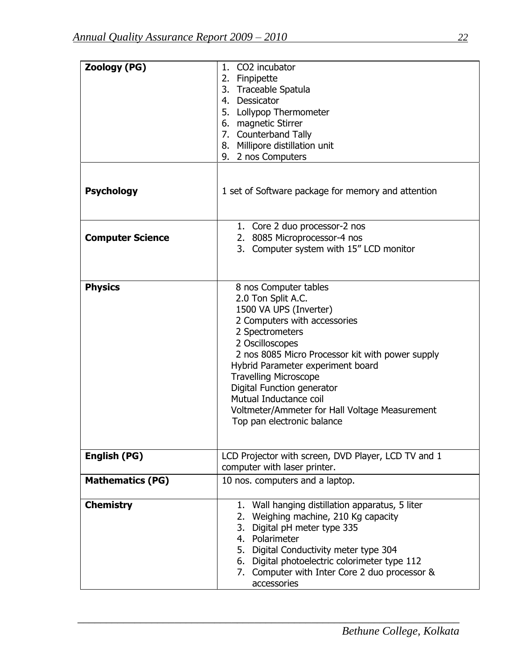| <b>Zoology (PG)</b>     | CO2 incubator<br>1.<br>2. Finpipette<br>3. Traceable Spatula<br>4. Dessicator<br>5. Lollypop Thermometer<br>6. magnetic Stirrer<br>7. Counterband Tally<br>8. Millipore distillation unit<br>9. 2 nos Computers                                                                                                                                                                                              |
|-------------------------|--------------------------------------------------------------------------------------------------------------------------------------------------------------------------------------------------------------------------------------------------------------------------------------------------------------------------------------------------------------------------------------------------------------|
| <b>Psychology</b>       | 1 set of Software package for memory and attention                                                                                                                                                                                                                                                                                                                                                           |
| <b>Computer Science</b> | 1. Core 2 duo processor-2 nos<br>2. 8085 Microprocessor-4 nos<br>3. Computer system with 15" LCD monitor                                                                                                                                                                                                                                                                                                     |
| <b>Physics</b>          | 8 nos Computer tables<br>2.0 Ton Split A.C.<br>1500 VA UPS (Inverter)<br>2 Computers with accessories<br>2 Spectrometers<br>2 Oscilloscopes<br>2 nos 8085 Micro Processor kit with power supply<br>Hybrid Parameter experiment board<br><b>Travelling Microscope</b><br>Digital Function generator<br>Mutual Inductance coil<br>Voltmeter/Ammeter for Hall Voltage Measurement<br>Top pan electronic balance |
| <b>English (PG)</b>     | LCD Projector with screen, DVD Player, LCD TV and 1<br>computer with laser printer.                                                                                                                                                                                                                                                                                                                          |
| <b>Mathematics (PG)</b> | 10 nos. computers and a laptop.                                                                                                                                                                                                                                                                                                                                                                              |
| <b>Chemistry</b>        | 1. Wall hanging distillation apparatus, 5 liter<br>Weighing machine, 210 Kg capacity<br>2.<br>3. Digital pH meter type 335<br>4. Polarimeter<br>5. Digital Conductivity meter type 304<br>6. Digital photoelectric colorimeter type 112<br>7. Computer with Inter Core 2 duo processor &<br>accessories                                                                                                      |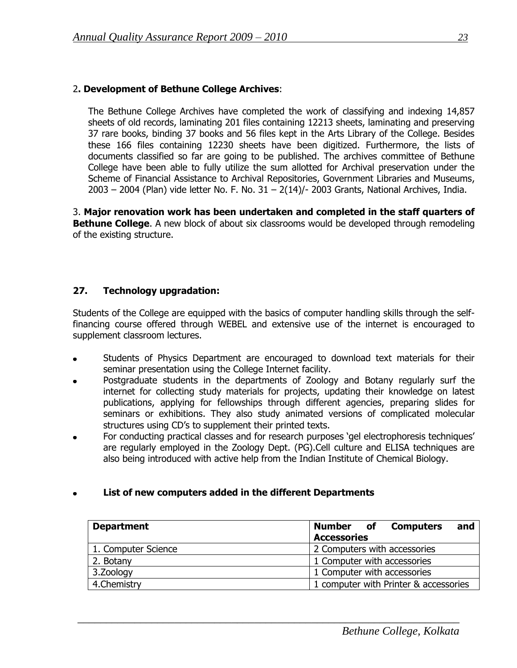# 2**. Development of Bethune College Archives**:

The Bethune College Archives have completed the work of classifying and indexing 14,857 sheets of old records, laminating 201 files containing 12213 sheets, laminating and preserving 37 rare books, binding 37 books and 56 files kept in the Arts Library of the College. Besides these 166 files containing 12230 sheets have been digitized. Furthermore, the lists of documents classified so far are going to be published. The archives committee of Bethune College have been able to fully utilize the sum allotted for Archival preservation under the Scheme of Financial Assistance to Archival Repositories, Government Libraries and Museums,  $2003 - 2004$  (Plan) vide letter No. F. No.  $31 - 2(14)/-2003$  Grants, National Archives, India.

3. **Major renovation work has been undertaken and completed in the staff quarters of Bethune College.** A new block of about six classrooms would be developed through remodeling of the existing structure.

#### **27. Technology upgradation:**

Students of the College are equipped with the basics of computer handling skills through the selffinancing course offered through WEBEL and extensive use of the internet is encouraged to supplement classroom lectures.

- Students of Physics Department are encouraged to download text materials for their seminar presentation using the College Internet facility.
- Postgraduate students in the departments of Zoology and Botany regularly surf the internet for collecting study materials for projects, updating their knowledge on latest publications, applying for fellowships through different agencies, preparing slides for seminars or exhibitions. They also study animated versions of complicated molecular structures using CD"s to supplement their printed texts.
- For conducting practical classes and for research purposes 'gel electrophoresis techniques' are regularly employed in the Zoology Dept. (PG).Cell culture and ELISA techniques are also being introduced with active help from the Indian Institute of Chemical Biology.

#### **List of new computers added in the different Departments**

| <b>Department</b>   | and<br><b>Number</b> of <b>Computers</b> |
|---------------------|------------------------------------------|
|                     | <b>Accessories</b>                       |
| 1. Computer Science | 2 Computers with accessories             |
| 2. Botany           | 1 Computer with accessories              |
| 3. Zoology          | 1 Computer with accessories              |
| 4. Chemistry        | 1 computer with Printer & accessories    |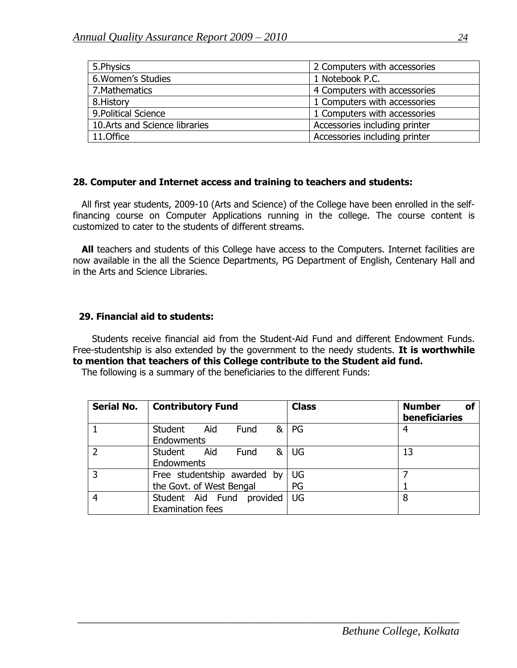| 5. Physics                     | 2 Computers with accessories  |
|--------------------------------|-------------------------------|
| 6. Women's Studies             | 1 Notebook P.C.               |
| 7. Mathematics                 | 4 Computers with accessories  |
| 8. History                     | 1 Computers with accessories  |
| 9. Political Science           | 1 Computers with accessories  |
| 10. Arts and Science libraries | Accessories including printer |
| 11.Office                      | Accessories including printer |

#### **28. Computer and Internet access and training to teachers and students:**

 All first year students, 2009-10 (Arts and Science) of the College have been enrolled in the selffinancing course on Computer Applications running in the college. The course content is customized to cater to the students of different streams.

All teachers and students of this College have access to the Computers. Internet facilities are now available in the all the Science Departments, PG Department of English, Centenary Hall and in the Arts and Science Libraries.

#### **29. Financial aid to students:**

Students receive financial aid from the Student-Aid Fund and different Endowment Funds. Free-studentship is also extended by the government to the needy students. **It is worthwhile to mention that teachers of this College contribute to the Student aid fund.**

The following is a summary of the beneficiaries to the different Funds:

| <b>Serial No.</b> | <b>Contributory Fund</b>                                | <b>Class</b> | <b>Number</b><br>Οf<br>beneficiaries |
|-------------------|---------------------------------------------------------|--------------|--------------------------------------|
|                   | Student<br><b>Fund</b><br>&<br>Aid<br><b>Endowments</b> | PG           | 4                                    |
| $\overline{2}$    | Student Aid<br>&<br>Fund<br>Endowments                  | UG           | 13                                   |
| 3                 | Free studentship awarded by<br>the Govt. of West Bengal | UG<br>PG     |                                      |
| $\overline{4}$    | provided<br>Student Aid Fund<br><b>Examination fees</b> | UG           | 8                                    |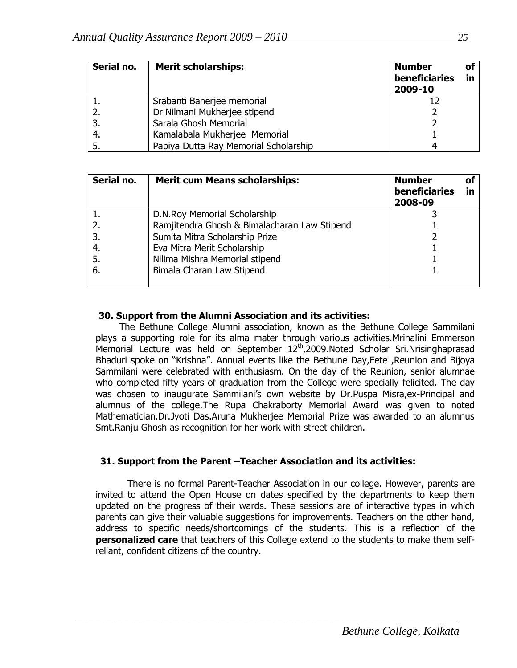| Serial no. | <b>Merit scholarships:</b>            | <b>Number</b><br>beneficiaries<br>2009-10 | οf<br>in |
|------------|---------------------------------------|-------------------------------------------|----------|
|            | Srabanti Banerjee memorial            |                                           |          |
|            | Dr Nilmani Mukherjee stipend          |                                           |          |
| 3.         | Sarala Ghosh Memorial                 |                                           |          |
|            | Kamalabala Mukherjee Memorial         |                                           |          |
|            | Papiya Dutta Ray Memorial Scholarship |                                           |          |

| Serial no. | <b>Merit cum Means scholarships:</b>         | <b>Number</b><br><b>beneficiaries</b><br>2008-09 | Οl<br>in |
|------------|----------------------------------------------|--------------------------------------------------|----------|
|            | D.N.Roy Memorial Scholarship                 |                                                  |          |
|            | Ramjitendra Ghosh & Bimalacharan Law Stipend |                                                  |          |
|            | Sumita Mitra Scholarship Prize               |                                                  |          |
| 4.         | Eva Mitra Merit Scholarship                  |                                                  |          |
| -5.        | Nilima Mishra Memorial stipend               |                                                  |          |
| 6.         | Bimala Charan Law Stipend                    |                                                  |          |

#### **30. Support from the Alumni Association and its activities:**

 The Bethune College Alumni association, known as the Bethune College Sammilani plays a supporting role for its alma mater through various activities.Mrinalini Emmerson Memorial Lecture was held on September 12<sup>th</sup>,2009.Noted Scholar Sri.Nrisinghaprasad Bhaduri spoke on "Krishna". Annual events like the Bethune Day,Fete ,Reunion and Bijoya Sammilani were celebrated with enthusiasm. On the day of the Reunion, senior alumnae who completed fifty years of graduation from the College were specially felicited. The day was chosen to inaugurate Sammilani's own website by Dr.Puspa Misra, ex-Principal and alumnus of the college.The Rupa Chakraborty Memorial Award was given to noted Mathematician.Dr.Jyoti Das.Aruna Mukherjee Memorial Prize was awarded to an alumnus Smt.Ranju Ghosh as recognition for her work with street children.

#### **31. Support from the Parent –Teacher Association and its activities:**

There is no formal Parent-Teacher Association in our college. However, parents are invited to attend the Open House on dates specified by the departments to keep them updated on the progress of their wards. These sessions are of interactive types in which parents can give their valuable suggestions for improvements. Teachers on the other hand, address to specific needs/shortcomings of the students. This is a reflection of the **personalized care** that teachers of this College extend to the students to make them selfreliant, confident citizens of the country.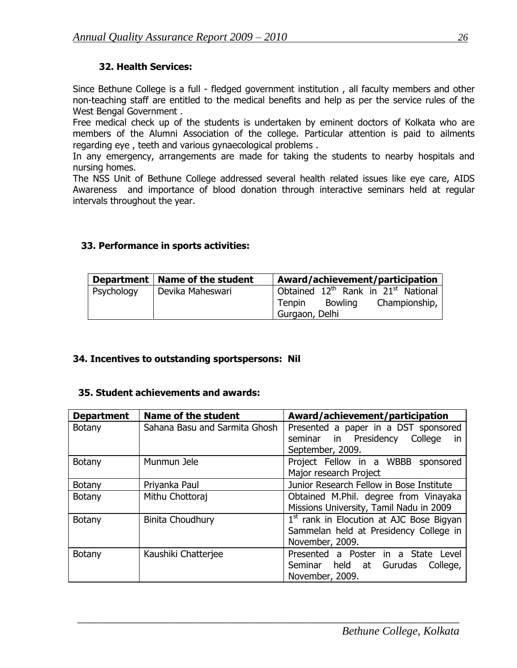# **32. Health Services:**

Since Bethune College is a full - fledged government institution , all faculty members and other non-teaching staff are entitled to the medical benefits and help as per the service rules of the West Bengal Government .

Free medical check up of the students is undertaken by eminent doctors of Kolkata who are members of the Alumni Association of the college. Particular attention is paid to ailments regarding eye , teeth and various gynaecological problems .

In any emergency, arrangements are made for taking the students to nearby hospitals and nursing homes.

The NSS Unit of Bethune College addressed several health related issues like eye care, AIDS Awareness and importance of blood donation through interactive seminars held at regular intervals throughout the year.

## **33. Performance in sports activities:**

|            | Department   Name of the student | Award/achievement/participation                             |
|------------|----------------------------------|-------------------------------------------------------------|
| Psychology | Devika Maheswari                 | Obtained 12 <sup>th</sup> Rank in 21 <sup>st</sup> National |
|            |                                  | <b>Bowling</b><br>Championship,<br>Tenpin                   |
|            |                                  | Gurgaon, Delhi                                              |

#### **34. Incentives to outstanding sportspersons: Nil**

#### **35. Student achievements and awards:**

| <b>Department</b> | <b>Name of the student</b>    | Award/achievement/participation            |
|-------------------|-------------------------------|--------------------------------------------|
| <b>Botany</b>     | Sahana Basu and Sarmita Ghosh | Presented a paper in a DST sponsored       |
|                   |                               | seminar in Presidency College<br><i>in</i> |
|                   |                               | September, 2009.                           |
| <b>Botany</b>     | Munmun Jele                   | Project Fellow in a WBBB<br>sponsored      |
|                   |                               | Major research Project                     |
| <b>Botany</b>     | Priyanka Paul                 | Junior Research Fellow in Bose Institute   |
| <b>Botany</b>     | Mithu Chottoraj               | Obtained M.Phil. degree from Vinayaka      |
|                   |                               | Missions University, Tamil Nadu in 2009    |
| <b>Botany</b>     | <b>Binita Choudhury</b>       | $1st$ rank in Elocution at AJC Bose Bigyan |
|                   |                               | Sammelan held at Presidency College in     |
|                   |                               | November, 2009.                            |
| <b>Botany</b>     | Kaushiki Chatterjee           | Presented a Poster in a State<br>Level     |
|                   |                               | Seminar held at Gurudas<br>College,        |
|                   |                               | November, 2009.                            |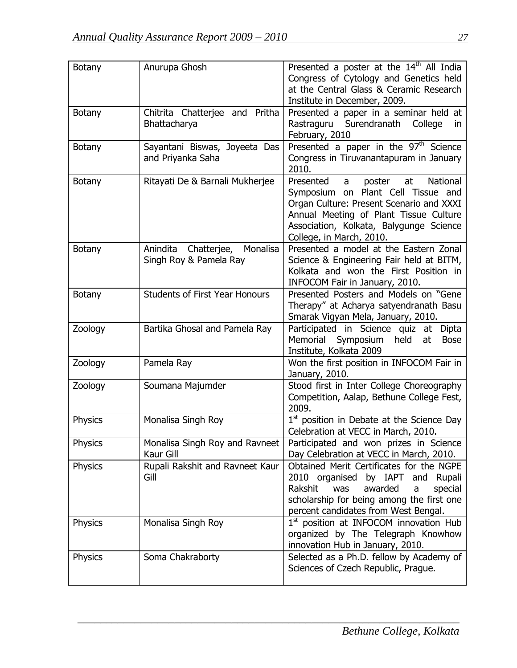| <b>Botany</b>  | Anurupa Ghosh                                              | Presented a poster at the 14 <sup>th</sup> All India<br>Congress of Cytology and Genetics held<br>at the Central Glass & Ceramic Research<br>Institute in December, 2009.                                                                     |
|----------------|------------------------------------------------------------|-----------------------------------------------------------------------------------------------------------------------------------------------------------------------------------------------------------------------------------------------|
| <b>Botany</b>  | Chitrita Chatterjee and Pritha<br>Bhattacharya             | Presented a paper in a seminar held at<br>Rastraguru Surendranath College<br>in.<br>February, 2010                                                                                                                                            |
| <b>Botany</b>  | Sayantani Biswas, Joyeeta Das<br>and Priyanka Saha         | Presented a paper in the 97 <sup>th</sup> Science<br>Congress in Tiruvanantapuram in January<br>2010.                                                                                                                                         |
| <b>Botany</b>  | Ritayati De & Barnali Mukherjee                            | at<br>National<br>Presented<br>a<br>poster<br>Symposium on Plant Cell Tissue and<br>Organ Culture: Present Scenario and XXXI<br>Annual Meeting of Plant Tissue Culture<br>Association, Kolkata, Balygunge Science<br>College, in March, 2010. |
| <b>Botany</b>  | Chatterjee, Monalisa<br>Anindita<br>Singh Roy & Pamela Ray | Presented a model at the Eastern Zonal<br>Science & Engineering Fair held at BITM,<br>Kolkata and won the First Position in<br>INFOCOM Fair in January, 2010.                                                                                 |
| <b>Botany</b>  | <b>Students of First Year Honours</b>                      | Presented Posters and Models on "Gene<br>Therapy" at Acharya satyendranath Basu<br>Smarak Vigyan Mela, January, 2010.                                                                                                                         |
| Zoology        | Bartika Ghosal and Pamela Ray                              | Participated in Science quiz<br>at<br>Dipta<br>Memorial Symposium<br>held<br>at<br><b>Bose</b><br>Institute, Kolkata 2009                                                                                                                     |
| Zoology        | Pamela Ray                                                 | Won the first position in INFOCOM Fair in<br>January, 2010.                                                                                                                                                                                   |
| Zoology        | Soumana Majumder                                           | Stood first in Inter College Choreography<br>Competition, Aalap, Bethune College Fest,<br>2009.                                                                                                                                               |
| Physics        | Monalisa Singh Roy                                         | 1 <sup>st</sup> position in Debate at the Science Day<br>Celebration at VECC in March, 2010.                                                                                                                                                  |
| Physics        | Monalisa Singh Roy and Ravneet<br>Kaur Gill                | Participated and won prizes in Science<br>Day Celebration at VECC in March, 2010.                                                                                                                                                             |
| <b>Physics</b> | Rupali Rakshit and Ravneet Kaur<br>Gill                    | Obtained Merit Certificates for the NGPE<br>2010 organised by IAPT and Rupali<br>Rakshit<br>awarded<br>was<br>special<br>a<br>scholarship for being among the first one<br>percent candidates from West Bengal.                               |
| <b>Physics</b> | Monalisa Singh Roy                                         | 1 <sup>st</sup> position at INFOCOM innovation Hub<br>organized by The Telegraph Knowhow<br>innovation Hub in January, 2010.                                                                                                                  |
| Physics        | Soma Chakraborty                                           | Selected as a Ph.D. fellow by Academy of<br>Sciences of Czech Republic, Prague.                                                                                                                                                               |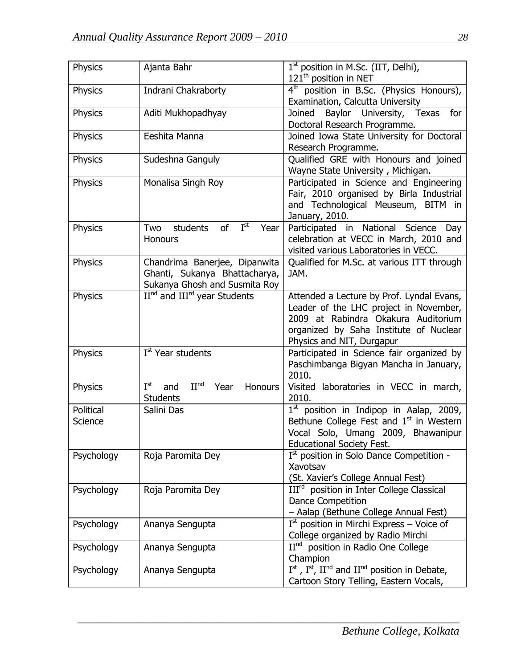| Physics              | Ajanta Bahr                                                                                     | 1 <sup>st</sup> position in M.Sc. (IIT, Delhi),<br>121 <sup>th</sup> position in NET                                                                                                              |
|----------------------|-------------------------------------------------------------------------------------------------|---------------------------------------------------------------------------------------------------------------------------------------------------------------------------------------------------|
| Physics              | Indrani Chakraborty                                                                             | 4 <sup>th</sup> position in B.Sc. (Physics Honours),<br>Examination, Calcutta University                                                                                                          |
| Physics              | Aditi Mukhopadhyay                                                                              | Joined<br>Baylor University, Texas for<br>Doctoral Research Programme.                                                                                                                            |
| Physics              | Eeshita Manna                                                                                   | Joined Iowa State University for Doctoral<br>Research Programme.                                                                                                                                  |
| <b>Physics</b>       | Sudeshna Ganguly                                                                                | Qualified GRE with Honours and joined<br>Wayne State University, Michigan.                                                                                                                        |
| Physics              | Monalisa Singh Roy                                                                              | Participated in Science and Engineering<br>Fair, 2010 organised by Birla Industrial<br>and Technological Meuseum, BITM in<br>January, 2010.                                                       |
| Physics              | of $I^{st}$<br>students<br>Year<br>Two<br><b>Honours</b>                                        | Participated in National Science<br>Day<br>celebration at VECC in March, 2010 and<br>visited various Laboratories in VECC.                                                                        |
| <b>Physics</b>       | Chandrima Banerjee, Dipanwita<br>Ghanti, Sukanya Bhattacharya,<br>Sukanya Ghosh and Susmita Roy | Qualified for M.Sc. at various ITT through<br>JAM.                                                                                                                                                |
| <b>Physics</b>       | II <sup>nd</sup> and III <sup>rd</sup> year Students                                            | Attended a Lecture by Prof. Lyndal Evans,<br>Leader of the LHC project in November,<br>2009 at Rabindra Okakura Auditorium<br>organized by Saha Institute of Nuclear<br>Physics and NIT, Durgapur |
| Physics              | I <sup>st</sup> Year students                                                                   | Participated in Science fair organized by<br>Paschimbanga Bigyan Mancha in January,<br>2010.                                                                                                      |
| Physics              | $I^{st}$<br>II <sub>ud</sub><br>Honours<br>and<br>Year<br><b>Students</b>                       | Visited laboratories in VECC in march,<br>2010.                                                                                                                                                   |
| Political<br>Science | Salini Das                                                                                      | $1st$ position in Indipop in Aalap, 2009,<br>Bethune College Fest and $1st$ in Western<br>Vocal Solo, Umang 2009, Bhawanipur<br><b>Educational Society Fest.</b>                                  |
| Psychology           | Roja Paromita Dey                                                                               | Ist position in Solo Dance Competition -<br>Xavotsav<br>(St. Xavier's College Annual Fest)                                                                                                        |
| Psychology           | Roja Paromita Dey                                                                               | III <sup>rd</sup> position in Inter College Classical<br><b>Dance Competition</b><br>- Aalap (Bethune College Annual Fest)                                                                        |
| Psychology           | Ananya Sengupta                                                                                 | $Ist$ position in Mirchi Express – Voice of<br>College organized by Radio Mirchi                                                                                                                  |
| Psychology           | Ananya Sengupta                                                                                 | $IInd$ position in Radio One College<br>Champion                                                                                                                                                  |
| Psychology           | Ananya Sengupta                                                                                 | $I^{st}$ , $I^{st}$ , $I^{nd}$ and $II^{nd}$ position in Debate,<br>Cartoon Story Telling, Eastern Vocals,                                                                                        |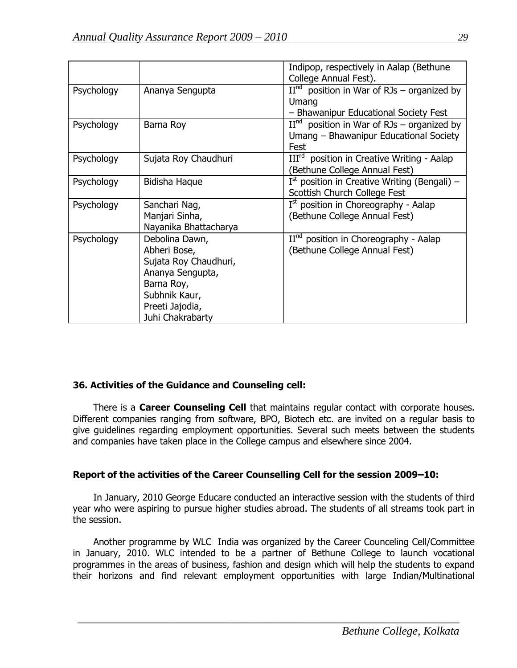|            |                                                                                                                                                   | Indipop, respectively in Aalap (Bethune                                                                                 |
|------------|---------------------------------------------------------------------------------------------------------------------------------------------------|-------------------------------------------------------------------------------------------------------------------------|
| Psychology | Ananya Sengupta                                                                                                                                   | College Annual Fest).<br>$IInd$ position in War of RJs – organized by<br>Umang<br>- Bhawanipur Educational Society Fest |
| Psychology | Barna Roy                                                                                                                                         | $IInd$ position in War of RJs – organized by<br>Umang – Bhawanipur Educational Society<br>Fest                          |
| Psychology | Sujata Roy Chaudhuri                                                                                                                              | III <sup>rd</sup> position in Creative Writing - Aalap<br>(Bethune College Annual Fest)                                 |
| Psychology | Bidisha Haque                                                                                                                                     | $I^{st}$ position in Creative Writing (Bengali) –<br>Scottish Church College Fest                                       |
| Psychology | Sanchari Nag,<br>Manjari Sinha,<br>Nayanika Bhattacharya                                                                                          | $Ist$ position in Choreography - Aalap<br>(Bethune College Annual Fest)                                                 |
| Psychology | Debolina Dawn,<br>Abheri Bose,<br>Sujata Roy Chaudhuri,<br>Ananya Sengupta,<br>Barna Roy,<br>Subhnik Kaur,<br>Preeti Jajodia,<br>Juhi Chakrabarty | $IInd$ position in Choreography - Aalap<br>(Bethune College Annual Fest)                                                |

#### **36. Activities of the Guidance and Counseling cell:**

 There is a **Career Counseling Cell** that maintains regular contact with corporate houses. Different companies ranging from software, BPO, Biotech etc. are invited on a regular basis to give guidelines regarding employment opportunities. Several such meets between the students and companies have taken place in the College campus and elsewhere since 2004.

#### **Report of the activities of the Career Counselling Cell for the session 2009–10:**

 In January, 2010 George Educare conducted an interactive session with the students of third year who were aspiring to pursue higher studies abroad. The students of all streams took part in the session.

 Another programme by WLC India was organized by the Career Counceling Cell/Committee in January, 2010. WLC intended to be a partner of Bethune College to launch vocational programmes in the areas of business, fashion and design which will help the students to expand their horizons and find relevant employment opportunities with large Indian/Multinational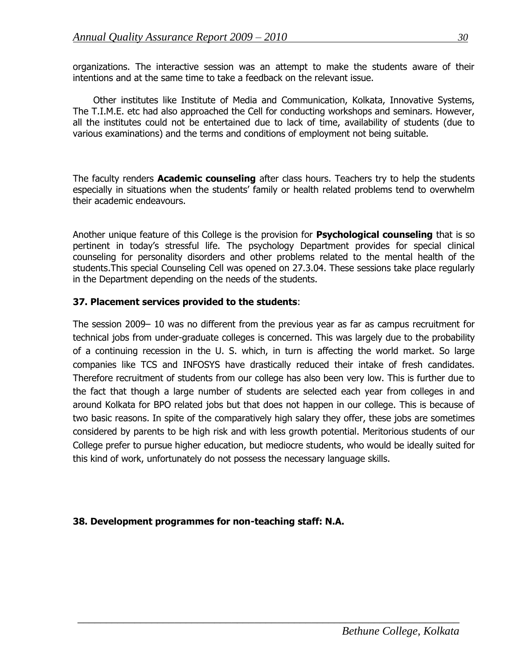organizations. The interactive session was an attempt to make the students aware of their intentions and at the same time to take a feedback on the relevant issue.

 Other institutes like Institute of Media and Communication, Kolkata, Innovative Systems, The T.I.M.E. etc had also approached the Cell for conducting workshops and seminars. However, all the institutes could not be entertained due to lack of time, availability of students (due to various examinations) and the terms and conditions of employment not being suitable.

The faculty renders **Academic counseling** after class hours. Teachers try to help the students especially in situations when the students' family or health related problems tend to overwhelm their academic endeavours.

Another unique feature of this College is the provision for **Psychological counseling** that is so pertinent in today's stressful life. The psychology Department provides for special clinical counseling for personality disorders and other problems related to the mental health of the students.This special Counseling Cell was opened on 27.3.04. These sessions take place regularly in the Department depending on the needs of the students.

#### **37. Placement services provided to the students**:

The session 2009– 10 was no different from the previous year as far as campus recruitment for technical jobs from under-graduate colleges is concerned. This was largely due to the probability of a continuing recession in the U. S. which, in turn is affecting the world market. So large companies like TCS and INFOSYS have drastically reduced their intake of fresh candidates. Therefore recruitment of students from our college has also been very low. This is further due to the fact that though a large number of students are selected each year from colleges in and around Kolkata for BPO related jobs but that does not happen in our college. This is because of two basic reasons. In spite of the comparatively high salary they offer, these jobs are sometimes considered by parents to be high risk and with less growth potential. Meritorious students of our College prefer to pursue higher education, but mediocre students, who would be ideally suited for this kind of work, unfortunately do not possess the necessary language skills.

 $\overline{a_1}$  , and the set of the set of the set of the set of the set of the set of the set of the set of the set of the set of the set of the set of the set of the set of the set of the set of the set of the set of the se

#### **38. Development programmes for non-teaching staff: N.A.**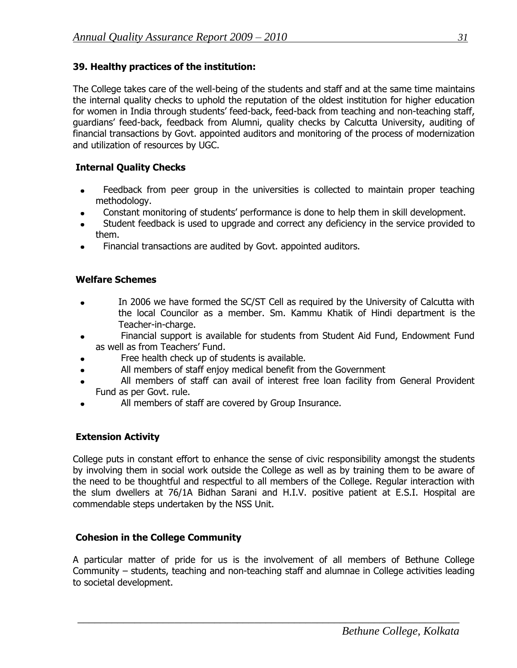#### **39. Healthy practices of the institution:**

The College takes care of the well-being of the students and staff and at the same time maintains the internal quality checks to uphold the reputation of the oldest institution for higher education for women in India through students' feed-back, feed-back from teaching and non-teaching staff, guardians" feed-back, feedback from Alumni, quality checks by Calcutta University, auditing of financial transactions by Govt. appointed auditors and monitoring of the process of modernization and utilization of resources by UGC.

### **Internal Quality Checks**

- Feedback from peer group in the universities is collected to maintain proper teaching methodology.
- Constant monitoring of students" performance is done to help them in skill development.
- Student feedback is used to upgrade and correct any deficiency in the service provided to them.
- Financial transactions are audited by Govt. appointed auditors.

## **Welfare Schemes**

- In 2006 we have formed the SC/ST Cell as required by the University of Calcutta with the local Councilor as a member. Sm. Kammu Khatik of Hindi department is the Teacher-in-charge.
- Financial support is available for students from Student Aid Fund, Endowment Fund  $\bullet$ as well as from Teachers' Fund.
- Free health check up of students is available.
- All members of staff enjoy medical benefit from the Government  $\bullet$
- All members of staff can avail of interest free loan facility from General Provident Fund as per Govt. rule.
- All members of staff are covered by Group Insurance.

#### **Extension Activity**

College puts in constant effort to enhance the sense of civic responsibility amongst the students by involving them in social work outside the College as well as by training them to be aware of the need to be thoughtful and respectful to all members of the College. Regular interaction with the slum dwellers at 76/1A Bidhan Sarani and H.I.V. positive patient at E.S.I. Hospital are commendable steps undertaken by the NSS Unit.

#### **Cohesion in the College Community**

A particular matter of pride for us is the involvement of all members of Bethune College Community – students, teaching and non-teaching staff and alumnae in College activities leading to societal development.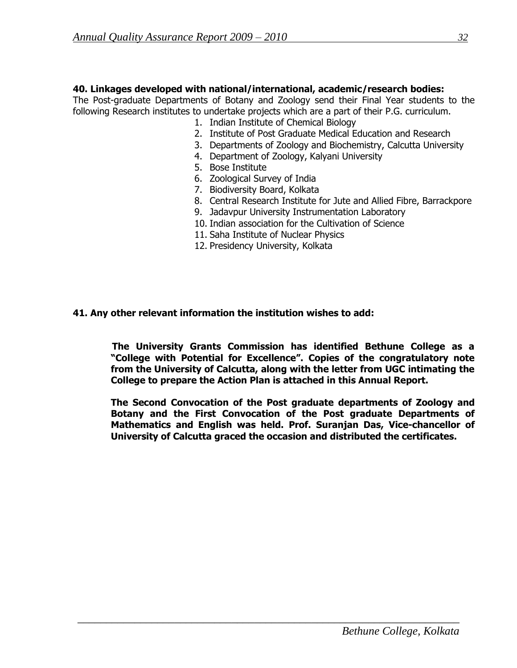#### **40. Linkages developed with national/international, academic/research bodies:**

The Post-graduate Departments of Botany and Zoology send their Final Year students to the following Research institutes to undertake projects which are a part of their P.G. curriculum.

- 1. Indian Institute of Chemical Biology
- 2. Institute of Post Graduate Medical Education and Research
- 3. Departments of Zoology and Biochemistry, Calcutta University
- 4. Department of Zoology, Kalyani University
- 5. Bose Institute
- 6. Zoological Survey of India
- 7. Biodiversity Board, Kolkata
- 8. Central Research Institute for Jute and Allied Fibre, Barrackpore
- 9. Jadavpur University Instrumentation Laboratory
- 10. Indian association for the Cultivation of Science
- 11. Saha Institute of Nuclear Physics
- 12. Presidency University, Kolkata

#### **41. Any other relevant information the institution wishes to add:**

 **The University Grants Commission has identified Bethune College as a "College with Potential for Excellence". Copies of the congratulatory note from the University of Calcutta, along with the letter from UGC intimating the College to prepare the Action Plan is attached in this Annual Report.**

**The Second Convocation of the Post graduate departments of Zoology and Botany and the First Convocation of the Post graduate Departments of Mathematics and English was held. Prof. Suranjan Das, Vice-chancellor of University of Calcutta graced the occasion and distributed the certificates.**